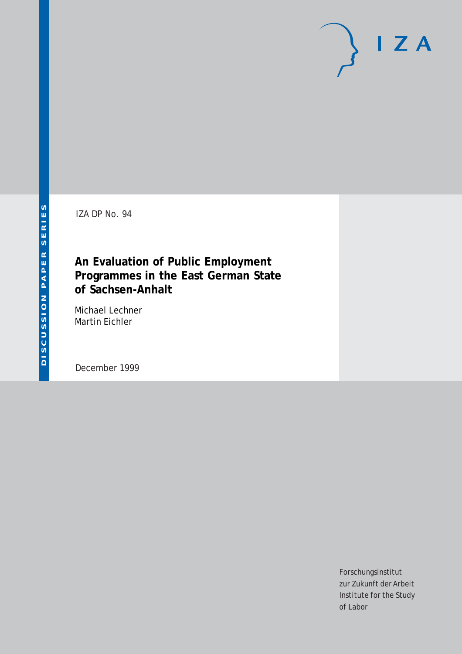IZA DP No. 94

# **An Evaluation of Public Employment Programmes in the East German State of Sachsen-Anhalt**

Michael Lechner Martin Eichler

December 1999

Forschungsinstitut zur Zukunft der Arbeit Institute for the Study of Labor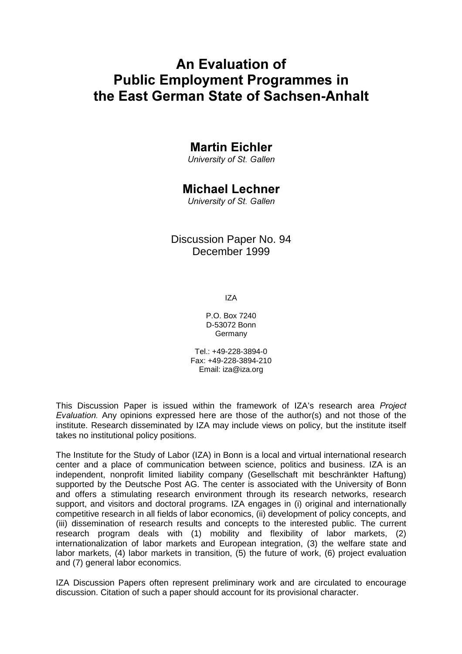# An Evaluation of **Public Employment Programmes in** the East German State of Sachsen-Anhalt

# **Martin Eichler**

University of St. Gallen

# **Michael Lechner**

University of St. Gallen

## Discussion Paper No. 94 December 1999

IZA

P.O. Box 7240 D-53072 Bonn Germany

Tel.: +49-228-3894-0 Fax: +49-228-3894-210 Email: iza@iza.org

This Discussion Paper is issued within the framework of IZA's research area Project Evaluation. Any opinions expressed here are those of the author(s) and not those of the institute. Research disseminated by IZA may include views on policy, but the institute itself takes no institutional policy positions.

The Institute for the Study of Labor (IZA) in Bonn is a local and virtual international research center and a place of communication between science, politics and business. IZA is an independent, nonprofit limited liability company (Gesellschaft mit beschränkter Haftung) supported by the Deutsche Post AG. The center is associated with the University of Bonn and offers a stimulating research environment through its research networks, research support, and visitors and doctoral programs. IZA engages in (i) original and internationally competitive research in all fields of labor economics, (ii) development of policy concepts, and (iii) dissemination of research results and concepts to the interested public. The current research program deals with (1) mobility and flexibility of labor markets, (2) internationalization of labor markets and European integration, (3) the welfare state and labor markets, (4) labor markets in transition, (5) the future of work, (6) project evaluation and (7) general labor economics.

IZA Discussion Papers often represent preliminary work and are circulated to encourage discussion. Citation of such a paper should account for its provisional character.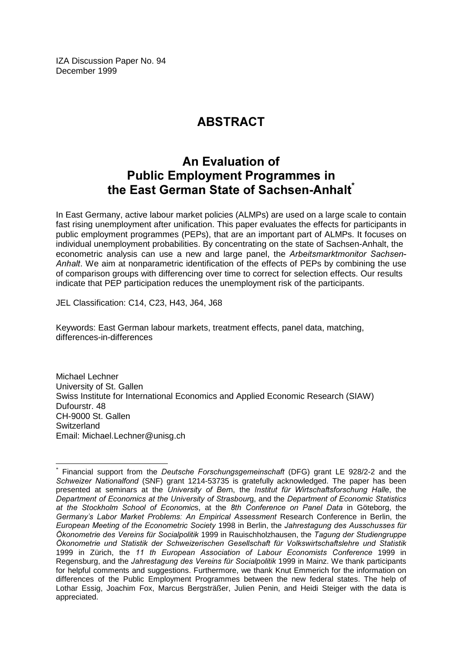IZA Discussion Paper No. 94 December 1999

# **ABSTRACT**

# An Evaluation of **Public Employment Programmes in** the East German State of Sachsen-Anhalt<sup>®</sup>

In East Germany, active labour market policies (ALMPs) are used on a large scale to contain fast rising unemployment after unification. This paper evaluates the effects for participants in public employment programmes (PEPs), that are an important part of ALMPs. It focuses on individual unemployment probabilities. By concentrating on the state of Sachsen-Anhalt, the econometric analysis can use a new and large panel, the Arbeitsmarktmonitor Sachsen-Anhalt. We aim at nonparametric identification of the effects of PEPs by combining the use of comparison groups with differencing over time to correct for selection effects. Our results indicate that PEP participation reduces the unemployment risk of the participants.

JEL Classification: C14, C23, H43, J64, J68

 $\overline{a}$ 

Keywords: East German labour markets, treatment effects, panel data, matching, differences-in-differences

Michael Lechner University of St. Gallen Swiss Institute for International Economics and Applied Economic Research (SIAW) Dufourstr. 48 CH-9000 St. Gallen **Switzerland** Email: Michael.Lechner@unisg.ch

 $*$  Financial support from the Deutsche Forschungsgemeinschaft (DFG) grant LE 928/2-2 and the Schweizer Nationalfond (SNF) grant 1214-53735 is gratefully acknowledged. The paper has been presented at seminars at the University of Bem, the Institut für Wirtschaftsforschung Halle, the .<br>Department of Economics at the University of Strasbourg, and the Department of Economic Statistics at the Stockholm School of Economics, at the 8th Conference on Panel Data in Göteborg, the Germany's Labor Market Problems: An Empirical Assessment Research Conference in Berlin, the European Meeting of the Econometric Society 1998 in Berlin, the Jahrestagung des Ausschusses für Ökonometrie des Vereins für Socialpolitik 1999 in Rauischholzhausen, the Tagung der Studiengruppe Ökonometrie und Statistik der Schweizerischen Gesellschaft für Volkswirtschaftslehre und Statistik 1999 in Zürich, the 11 th European Association of Labour Economists Conference 1999 in Regensburg, and the Jahrestagung des Vereins für Socialpolitik 1999 in Mainz. We thank participants for helpful comments and suggestions. Furthermore, we thank Knut Emmerich for the information on differences of the Public Employment Programmes between the new federal states. The help of Lothar Essig, Joachim Fox, Marcus Bergsträßer, Julien Penin, and Heidi Steiger with the data is appreciated.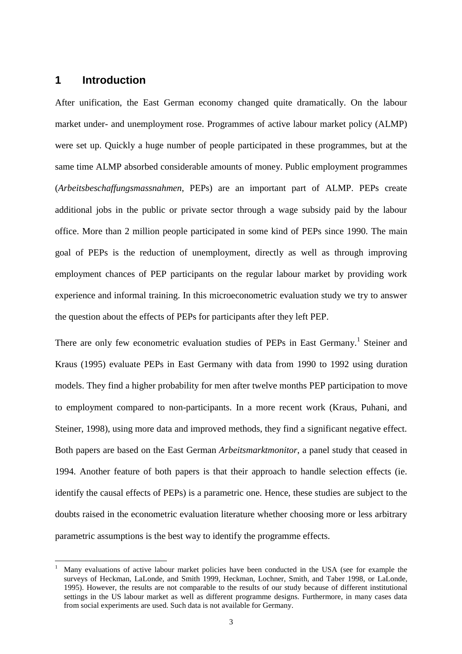### **1 Introduction**

 $\overline{a}$ 

After unification, the East German economy changed quite dramatically. On the labour market under- and unemployment rose. Programmes of active labour market policy (ALMP) were set up. Quickly a huge number of people participated in these programmes, but at the same time ALMP absorbed considerable amounts of money. Public employment programmes (*Arbeitsbeschaffungsmassnahmen*, PEPs) are an important part of ALMP. PEPs create additional jobs in the public or private sector through a wage subsidy paid by the labour office. More than 2 million people participated in some kind of PEPs since 1990. The main goal of PEPs is the reduction of unemployment, directly as well as through improving employment chances of PEP participants on the regular labour market by providing work experience and informal training. In this microeconometric evaluation study we try to answer the question about the effects of PEPs for participants after they left PEP.

There are only few econometric evaluation studies of PEPs in East Germany.<sup>1</sup> Steiner and Kraus (1995) evaluate PEPs in East Germany with data from 1990 to 1992 using duration models. They find a higher probability for men after twelve months PEP participation to move to employment compared to non-participants. In a more recent work (Kraus, Puhani, and Steiner, 1998), using more data and improved methods, they find a significant negative effect. Both papers are based on the East German *Arbeitsmarktmonitor*, a panel study that ceased in 1994. Another feature of both papers is that their approach to handle selection effects (ie. identify the causal effects of PEPs) is a parametric one. Hence, these studies are subject to the doubts raised in the econometric evaluation literature whether choosing more or less arbitrary parametric assumptions is the best way to identify the programme effects.

<sup>1</sup> Many evaluations of active labour market policies have been conducted in the USA (see for example the surveys of Heckman, LaLonde, and Smith 1999, Heckman, Lochner, Smith, and Taber 1998, or LaLonde, 1995). However, the results are not comparable to the results of our study because of different institutional settings in the US labour market as well as different programme designs. Furthermore, in many cases data from social experiments are used. Such data is not available for Germany.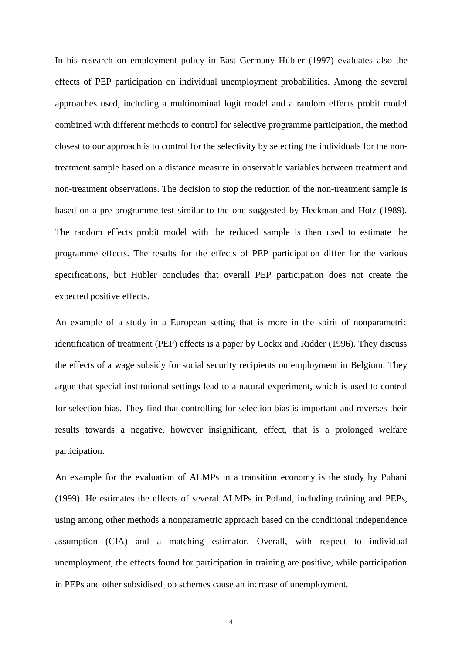In his research on employment policy in East Germany Hübler (1997) evaluates also the effects of PEP participation on individual unemployment probabilities. Among the several approaches used, including a multinominal logit model and a random effects probit model combined with different methods to control for selective programme participation, the method closest to our approach is to control for the selectivity by selecting the individuals for the nontreatment sample based on a distance measure in observable variables between treatment and non-treatment observations. The decision to stop the reduction of the non-treatment sample is based on a pre-programme-test similar to the one suggested by Heckman and Hotz (1989). The random effects probit model with the reduced sample is then used to estimate the programme effects. The results for the effects of PEP participation differ for the various specifications, but Hübler concludes that overall PEP participation does not create the expected positive effects.

An example of a study in a European setting that is more in the spirit of nonparametric identification of treatment (PEP) effects is a paper by Cockx and Ridder (1996). They discuss the effects of a wage subsidy for social security recipients on employment in Belgium. They argue that special institutional settings lead to a natural experiment, which is used to control for selection bias. They find that controlling for selection bias is important and reverses their results towards a negative, however insignificant, effect, that is a prolonged welfare participation.

An example for the evaluation of ALMPs in a transition economy is the study by Puhani (1999). He estimates the effects of several ALMPs in Poland, including training and PEPs, using among other methods a nonparametric approach based on the conditional independence assumption (CIA) and a matching estimator. Overall, with respect to individual unemployment, the effects found for participation in training are positive, while participation in PEPs and other subsidised job schemes cause an increase of unemployment.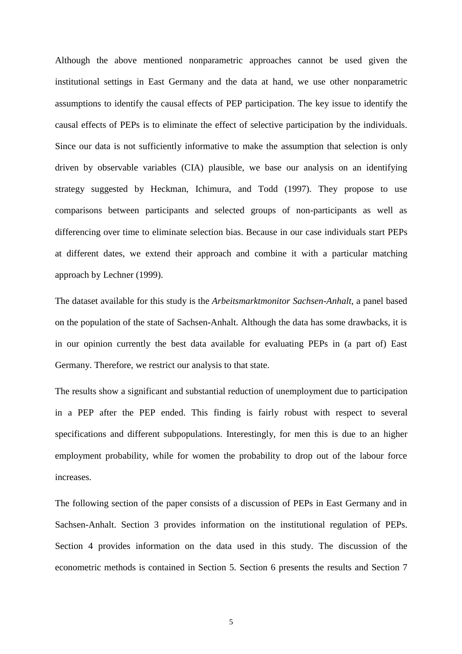Although the above mentioned nonparametric approaches cannot be used given the institutional settings in East Germany and the data at hand, we use other nonparametric assumptions to identify the causal effects of PEP participation. The key issue to identify the causal effects of PEPs is to eliminate the effect of selective participation by the individuals. Since our data is not sufficiently informative to make the assumption that selection is only driven by observable variables (CIA) plausible, we base our analysis on an identifying strategy suggested by Heckman, Ichimura, and Todd (1997). They propose to use comparisons between participants and selected groups of non-participants as well as differencing over time to eliminate selection bias. Because in our case individuals start PEPs at different dates, we extend their approach and combine it with a particular matching approach by Lechner (1999).

The dataset available for this study is the *Arbeitsmarktmonitor Sachsen-Anhalt*, a panel based on the population of the state of Sachsen-Anhalt. Although the data has some drawbacks, it is in our opinion currently the best data available for evaluating PEPs in (a part of) East Germany. Therefore, we restrict our analysis to that state.

The results show a significant and substantial reduction of unemployment due to participation in a PEP after the PEP ended. This finding is fairly robust with respect to several specifications and different subpopulations. Interestingly, for men this is due to an higher employment probability, while for women the probability to drop out of the labour force increases.

The following section of the paper consists of a discussion of PEPs in East Germany and in Sachsen-Anhalt. Section 3 provides information on the institutional regulation of PEPs. Section 4 provides information on the data used in this study. The discussion of the econometric methods is contained in Section 5. Section 6 presents the results and Section 7

5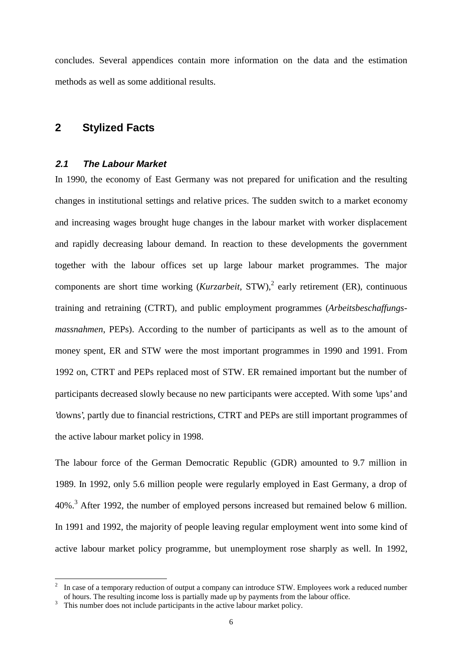concludes. Several appendices contain more information on the data and the estimation methods as well as some additional results.

## **2 Stylized Facts**

#### **2.1 The Labour Market**

In 1990, the economy of East Germany was not prepared for unification and the resulting changes in institutional settings and relative prices. The sudden switch to a market economy and increasing wages brought huge changes in the labour market with worker displacement and rapidly decreasing labour demand. In reaction to these developments the government together with the labour offices set up large labour market programmes. The major components are short time working (*Kurzarbeit*, STW),<sup>2</sup> early retirement (ER), continuous training and retraining (CTRT), and public employment programmes (*Arbeitsbeschaffungsmassnahmen*, PEPs). According to the number of participants as well as to the amount of money spent, ER and STW were the most important programmes in 1990 and 1991. From 1992 on, CTRT and PEPs replaced most of STW. ER remained important but the number of participants decreased slowly because no new participants were accepted. With some 'ups' and 'downs', partly due to financial restrictions, CTRT and PEPs are still important programmes of the active labour market policy in 1998.

The labour force of the German Democratic Republic (GDR) amounted to 9.7 million in 1989. In 1992, only 5.6 million people were regularly employed in East Germany, a drop of 40%.<sup>3</sup> After 1992, the number of employed persons increased but remained below 6 million. In 1991 and 1992, the majority of people leaving regular employment went into some kind of active labour market policy programme, but unemployment rose sharply as well. In 1992,

In case of a temporary reduction of output a company can introduce STW. Employees work a reduced number of hours. The resulting income loss is partially made up by payments from the labour office.

 $\frac{3}{3}$ . This number does not include participants in the active labour market policy.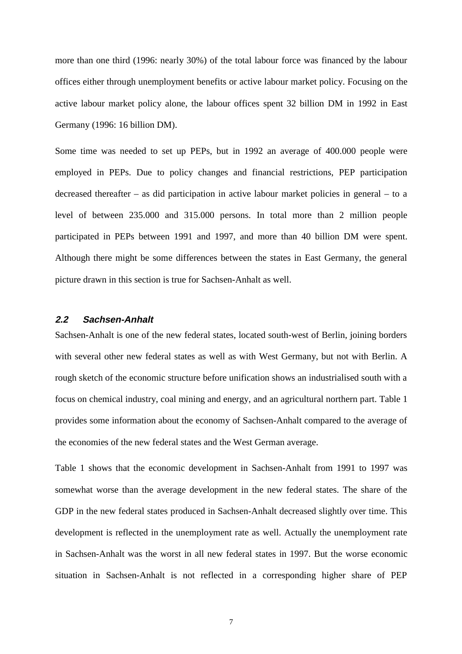more than one third (1996: nearly 30%) of the total labour force was financed by the labour offices either through unemployment benefits or active labour market policy. Focusing on the active labour market policy alone, the labour offices spent 32 billion DM in 1992 in East Germany (1996: 16 billion DM).

Some time was needed to set up PEPs, but in 1992 an average of 400.000 people were employed in PEPs. Due to policy changes and financial restrictions, PEP participation decreased thereafter – as did participation in active labour market policies in general – to a level of between 235.000 and 315.000 persons. In total more than 2 million people participated in PEPs between 1991 and 1997, and more than 40 billion DM were spent. Although there might be some differences between the states in East Germany, the general picture drawn in this section is true for Sachsen-Anhalt as well.

### **2.2 Sachsen-Anhalt**

Sachsen-Anhalt is one of the new federal states, located south-west of Berlin, joining borders with several other new federal states as well as with West Germany, but not with Berlin. A rough sketch of the economic structure before unification shows an industrialised south with a focus on chemical industry, coal mining and energy, and an agricultural northern part. Table 1 provides some information about the economy of Sachsen-Anhalt compared to the average of the economies of the new federal states and the West German average.

Table 1 shows that the economic development in Sachsen-Anhalt from 1991 to 1997 was somewhat worse than the average development in the new federal states. The share of the GDP in the new federal states produced in Sachsen-Anhalt decreased slightly over time. This development is reflected in the unemployment rate as well. Actually the unemployment rate in Sachsen-Anhalt was the worst in all new federal states in 1997. But the worse economic situation in Sachsen-Anhalt is not reflected in a corresponding higher share of PEP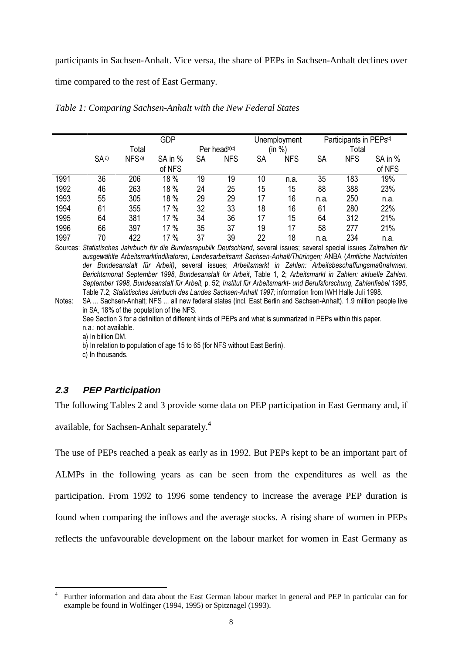participants in Sachsen-Anhalt. Vice versa, the share of PEPs in Sachsen-Anhalt declines over

time compared to the rest of East Germany.

|      |                 | <b>GDP</b>        |         |    |              |                   | Unemployment |           | Participants in PEPs <sup>c)</sup> |         |  |
|------|-----------------|-------------------|---------|----|--------------|-------------------|--------------|-----------|------------------------------------|---------|--|
|      |                 | Total             |         |    | Per headb)c) | %<br>Total<br>(in |              |           |                                    |         |  |
|      | SA <sup>a</sup> | NFS <sup>a)</sup> | SA in % | SА | <b>NFS</b>   | SA                | <b>NFS</b>   | <b>SA</b> | <b>NFS</b>                         | SA in % |  |
|      |                 |                   | of NFS  |    |              |                   |              |           |                                    | of NFS  |  |
| 1991 | 36              | 206               | 18 %    | 19 | 19           | 10                | n.a.         | 35        | 183                                | 19%     |  |
| 1992 | 46              | 263               | 18 %    | 24 | 25           | 15                | 15           | 88        | 388                                | 23%     |  |
| 1993 | 55              | 305               | 18 %    | 29 | 29           | 17                | 16           | n.a.      | 250                                | n.a.    |  |
| 1994 | 61              | 355               | 17 %    | 32 | 33           | 18                | 16           | 61        | 280                                | 22%     |  |
| 1995 | 64              | 381               | 17 %    | 34 | 36           | 17                | 15           | 64        | 312                                | 21%     |  |
| 1996 | 66              | 397               | 17 %    | 35 | 37           | 19                | 17           | 58        | 277                                | 21%     |  |
| 1997 | 70              | 422               | 17 %    | 37 | 39           | 22                | 18           | n.a.      | 234                                | n.a.    |  |

*Table 1: Comparing Sachsen-Anhalt with the New Federal States*

Sources: Statistisches Jahrbuch für die Bundesrepublik Deutschland, several issues; several special issues Zeitreihen für ausgewählte Arbeitsmarktindikatoren, Landesarbeitsamt Sachsen-Anhalt/Thüringen; ANBA (Amtliche Nachrichten der Bundesanstalt für Arbeit), several issues; Arbeitsmarkt in Zahlen: Arbeitsbeschaffungsmaßnahmen, Berichtsmonat September 1998, Bundesanstalt für Arbeit, Table 1, 2; Arbeitsmarkt in Zahlen: aktuelle Zahlen, September 1998, Bundesanstalt für Arbeit, p. 52; Institut für Arbeitsmarkt- und Berufsforschung, Zahlenfiebel 1995, Table 7.2: Statistisches Jahrbuch des Landes Sachsen-Anhalt 1997: information from IWH Halle Juli 1998.

Notes: SA ... Sachsen-Anhalt; NFS ... all new federal states (incl. East Berlin and Sachsen-Anhalt). 1.9 million people live in SA, 18% of the population of the NFS.

See Section 3 for a definition of different kinds of PEPs and what is summarized in PEPs within this paper.

n.a.: not available.

a) In billion DM.

b) In relation to population of age 15 to 65 (for NFS without East Berlin).

c) In thousands.

## **2.3 PEP Participation**

 $\overline{a}$ 

The following Tables 2 and 3 provide some data on PEP participation in East Germany and, if

available, for Sachsen-Anhalt separately.<sup>4</sup>

The use of PEPs reached a peak as early as in 1992. But PEPs kept to be an important part of

ALMPs in the following years as can be seen from the expenditures as well as the participation. From 1992 to 1996 some tendency to increase the average PEP duration is found when comparing the inflows and the average stocks. A rising share of women in PEPs

reflects the unfavourable development on the labour market for women in East Germany as

<sup>4</sup> Further information and data about the East German labour market in general and PEP in particular can for example be found in Wolfinger (1994, 1995) or Spitznagel (1993).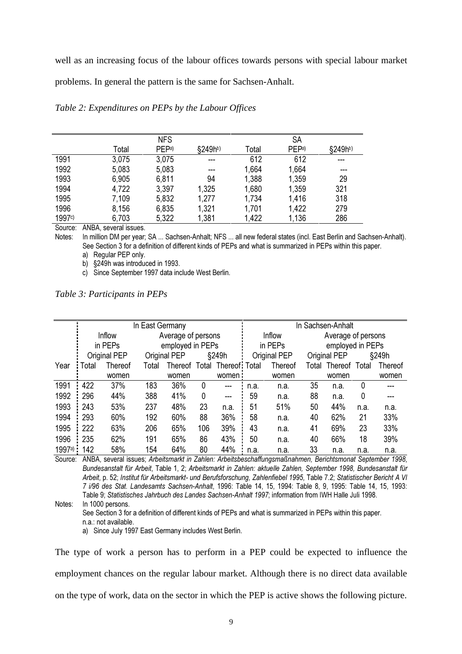well as an increasing focus of the labour offices towards persons with special labour market

problems. In general the pattern is the same for Sachsen-Anhalt.

|        | <b>NFS</b> |                  |                     | <b>SA</b> |                   |                     |  |
|--------|------------|------------------|---------------------|-----------|-------------------|---------------------|--|
|        | Total      | PEP <sup>a</sup> | §249h <sup>b)</sup> | Total     | PEP <sup>a)</sup> | §249h <sup>b)</sup> |  |
| 1991   | 3,075      | 3,075            | $- - -$             | 612       | 612               | ---                 |  |
| 1992   | 5,083      | 5,083            | ---                 | 1,664     | 1,664             | ---                 |  |
| 1993   | 6,905      | 6,811            | 94                  | 1,388     | 1,359             | 29                  |  |
| 1994   | 4,722      | 3,397            | 1,325               | 1,680     | 1,359             | 321                 |  |
| 1995   | 7,109      | 5,832            | 1,277               | 1,734     | 1,416             | 318                 |  |
| 1996   | 8,156      | 6,835            | 1,321               | 1,701     | 1,422             | 279                 |  |
| 1997c) | 6,703      | 5,322            | 1,381               | 1,422     | 1,136             | 286                 |  |

*Table 2: Expenditures on PEPs by the Labour Offices*

Source: ANBA, several issues.

Notes: In million DM per year; SA ... Sachsen-Anhalt; NFS ... all new federal states (incl. East Berlin and Sachsen-Anhalt). See Section 3 for a definition of different kinds of PEPs and what is summarized in PEPs within this paper. a) Reqular PEP only.

b)  $$249h$  was introduced in 1993.

c) Since September 1997 data include West Berlin.

|  | Table 3: Participants in PEPs |  |
|--|-------------------------------|--|
|  |                               |  |

|        |       |                | In East Germany |                    |     |                             | In Sachsen-Anhalt |                |                  |                    |      |                |
|--------|-------|----------------|-----------------|--------------------|-----|-----------------------------|-------------------|----------------|------------------|--------------------|------|----------------|
|        |       | Inflow         |                 | Average of persons |     |                             |                   | Inflow         |                  | Average of persons |      |                |
|        |       | in PEPs        |                 | employed in PEPs   |     |                             | in PEPs           |                | employed in PEPs |                    |      |                |
|        |       | Original PEP   |                 | Original PEP       |     | §249h                       |                   | Original PEP   |                  | Original PEP       |      | §249h          |
| Year   | Total | <b>Thereof</b> | Total           |                    |     | Thereof Total Thereof Total |                   | <b>Thereof</b> | Total            | Thereof Total      |      | <b>Thereof</b> |
|        |       | women          |                 | women              |     | women:                      |                   | women          |                  | women              |      | women          |
| 1991   | 422   | 37%            | 183             | 36%                | 0   | ---                         | n.a.              | n.a.           | 35               | n.a.               | 0    | ---            |
| 1992   | 296   | 44%            | 388             | 41%                | 0   | ---                         | 59                | n.a.           | 88               | n.a.               | 0    | ---            |
| 1993   | 243   | 53%            | 237             | 48%                | 23  | n.a.                        | 51                | 51%            | 50               | 44%                | n.a. | n.a.           |
| 1994   | 293   | 60%            | 192             | 60%                | 88  | 36%                         | 58                | n.a.           | 40               | 62%                | 21   | 33%            |
| 1995   | 222   | 63%            | 206             | 65%                | 106 | 39%                         | 43                | n.a.           | 41               | 69%                | 23   | 33%            |
| 1996   | 235   | 62%            | 191             | 65%                | 86  | 43%                         | 50                | n.a.           | 40               | 66%                | 18   | 39%            |
| 1997a) | 142   | 58%            | 154             | 64%                | 80  | 44%                         | n.a.              | n.a.           | 33               | n.a.               | n.a. | n.a.           |

Source: ANBA, several issues; Arbeitsmarkt in Zahlen: Arbeitsbeschaffungsmaßnahmen, Berichtsmonat September 1998, Bundesanstalt für Arbeit, Table 1, 2; Arbeitsmarkt in Zahlen: aktuelle Zahlen, September 1998, Bundesanstalt für Arbeit. p. 52: Institut für Arbeitsmarkt- und Berufsforschung. Zahlenfiebel 1995. Table 7.2: Statistischer Bericht A VI 7 i/96 des Stat. Landesamts Sachsen-Anhalt, 1996: Table 14, 15, 1994: Table 8, 9, 1995: Table 14, 15, 1993: Table 9; Statistisches Jahrbuch des Landes Sachsen-Anhalt 1997; information from IWH Halle Juli 1998.

Notes: In 1000 persons.

See Section 3 for a definition of different kinds of PEPs and what is summarized in PEPs within this paper. n.a.: not available.

a) Since July 1997 East Germany includes West Berlin.

The type of work a person has to perform in a PEP could be expected to influence the employment chances on the regular labour market. Although there is no direct data available on the type of work, data on the sector in which the PEP is active shows the following picture.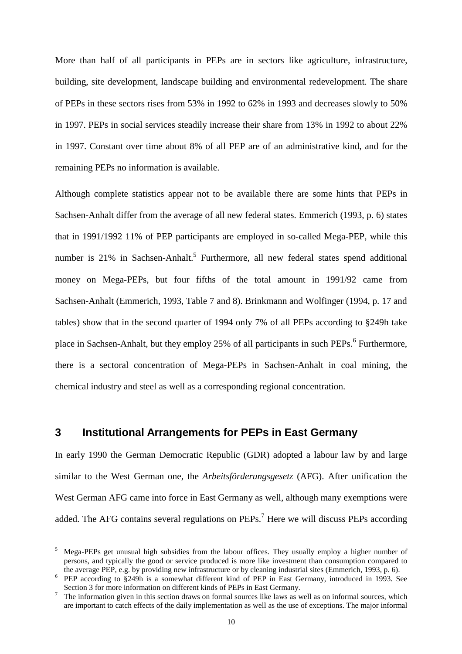More than half of all participants in PEPs are in sectors like agriculture, infrastructure, building, site development, landscape building and environmental redevelopment. The share of PEPs in these sectors rises from 53% in 1992 to 62% in 1993 and decreases slowly to 50% in 1997. PEPs in social services steadily increase their share from 13% in 1992 to about 22% in 1997. Constant over time about 8% of all PEP are of an administrative kind, and for the remaining PEPs no information is available.

Although complete statistics appear not to be available there are some hints that PEPs in Sachsen-Anhalt differ from the average of all new federal states. Emmerich (1993, p. 6) states that in 1991/1992 11% of PEP participants are employed in so-called Mega-PEP, while this number is 21% in Sachsen-Anhalt.<sup>5</sup> Furthermore, all new federal states spend additional money on Mega-PEPs, but four fifths of the total amount in 1991/92 came from Sachsen-Anhalt (Emmerich, 1993, Table 7 and 8). Brinkmann and Wolfinger (1994, p. 17 and tables) show that in the second quarter of 1994 only 7% of all PEPs according to §249h take place in Sachsen-Anhalt, but they employ 25% of all participants in such PEPs.<sup>6</sup> Furthermore, there is a sectoral concentration of Mega-PEPs in Sachsen-Anhalt in coal mining, the chemical industry and steel as well as a corresponding regional concentration.

## **3 Institutional Arrangements for PEPs in East Germany**

 $\overline{a}$ 

In early 1990 the German Democratic Republic (GDR) adopted a labour law by and large similar to the West German one, the *Arbeitsförderungsgesetz* (AFG). After unification the West German AFG came into force in East Germany as well, although many exemptions were added. The AFG contains several regulations on  $PEPs$ .<sup>7</sup> Here we will discuss PEPs according

<sup>5</sup> Mega-PEPs get unusual high subsidies from the labour offices. They usually employ a higher number of persons, and typically the good or service produced is more like investment than consumption compared to the average PEP, e.g. by providing new infrastructure or by cleaning industrial sites (Emmerich, 1993, p. 6).

FEP according to §249h is a somewhat different kind of PEP in East Germany, introduced in 1993. See<br>Section 3 for more information on different kinds of PEPs in East Germany.

 $\frac{3}{7}$ . The information given in this section draws on formal sources like laws as well as on informal sources, which are important to catch effects of the daily implementation as well as the use of exceptions. The major informal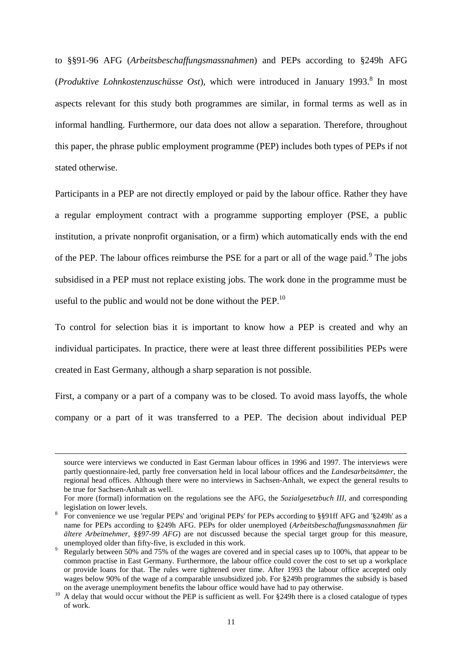to §§91-96 AFG (*Arbeitsbeschaffungsmassnahmen*) and PEPs according to §249h AFG (*Produktive Lohnkostenzuschüsse Ost*), which were introduced in January 1993.<sup>8</sup> In most aspects relevant for this study both programmes are similar, in formal terms as well as in informal handling. Furthermore, our data does not allow a separation. Therefore, throughout this paper, the phrase public employment programme (PEP) includes both types of PEPs if not stated otherwise.

Participants in a PEP are not directly employed or paid by the labour office. Rather they have a regular employment contract with a programme supporting employer (PSE, a public institution, a private nonprofit organisation, or a firm) which automatically ends with the end of the PEP. The labour offices reimburse the PSE for a part or all of the wage paid.<sup>9</sup> The jobs subsidised in a PEP must not replace existing jobs. The work done in the programme must be useful to the public and would not be done without the PEP. $^{10}$ 

To control for selection bias it is important to know how a PEP is created and why an individual participates. In practice, there were at least three different possibilities PEPs were created in East Germany, although a sharp separation is not possible.

First, a company or a part of a company was to be closed. To avoid mass layoffs, the whole company or a part of it was transferred to a PEP. The decision about individual PEP

source were interviews we conducted in East German labour offices in 1996 and 1997. The interviews were partly questionnaire-led, partly free conversation held in local labour offices and the *Landesarbeitsämter*, the regional head offices. Although there were no interviews in Sachsen-Anhalt, we expect the general results to be true for Sachsen-Anhalt as well.

For more (formal) information on the regulations see the AFG, the *Sozialgesetzbuch III*, and corresponding legislation on lower levels.<br>8 For convenience we use 'regular PEPs' and 'original PEPs' for PEPs according to §§91ff AFG and '§249h' as a

name for PEPs according to §249h AFG. PEPs for older unemployed (*Arbeitsbeschaffungsmassnahmen für ältere Arbeitnehmer, §§97-99 AFG*) are not discussed because the special target group for this measure, unemployed older than fifty-five, is excluded in this work.<br>Regularly between 50% and 75% of the wages are covered and in special cases up to 100%, that appear to be

common practise in East Germany. Furthermore, the labour office could cover the cost to set up a workplace or provide loans for that. The rules were tightened over time. After 1993 the labour office accepted only wages below 90% of the wage of a comparable unsubsidized job. For §249h programmes the subsidy is based<br>on the average unemployment benefits the labour office would have had to pay otherwise.

<sup>&</sup>lt;sup>10</sup> A delay that would occur without the PEP is sufficient as well. For §249h there is a closed catalogue of types of work.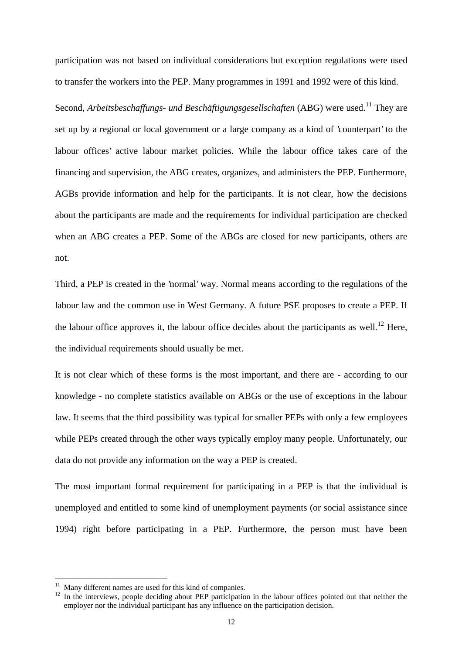participation was not based on individual considerations but exception regulations were used to transfer the workers into the PEP. Many programmes in 1991 and 1992 were of this kind.

Second, *Arbeitsbeschaffungs- und Beschäftigungsgesellschaften* (ABG) were used.<sup>11</sup> They are set up by a regional or local government or a large company as a kind of 'counterpart' to the labour offices' active labour market policies. While the labour office takes care of the financing and supervision, the ABG creates, organizes, and administers the PEP. Furthermore, AGBs provide information and help for the participants. It is not clear, how the decisions about the participants are made and the requirements for individual participation are checked when an ABG creates a PEP. Some of the ABGs are closed for new participants, others are not.

Third, a PEP is created in the 'normal' way. Normal means according to the regulations of the labour law and the common use in West Germany. A future PSE proposes to create a PEP. If the labour office approves it, the labour office decides about the participants as well.<sup>12</sup> Here, the individual requirements should usually be met.

It is not clear which of these forms is the most important, and there are - according to our knowledge - no complete statistics available on ABGs or the use of exceptions in the labour law. It seems that the third possibility was typical for smaller PEPs with only a few employees while PEPs created through the other ways typically employ many people. Unfortunately, our data do not provide any information on the way a PEP is created.

The most important formal requirement for participating in a PEP is that the individual is unemployed and entitled to some kind of unemployment payments (or social assistance since 1994) right before participating in a PEP. Furthermore, the person must have been

<sup>&</sup>lt;sup>11</sup> Many different names are used for this kind of companies.<br><sup>12</sup> In the interviews, people deciding about PEP participation in the labour offices pointed out that neither the employer nor the individual participant has any influence on the participation decision.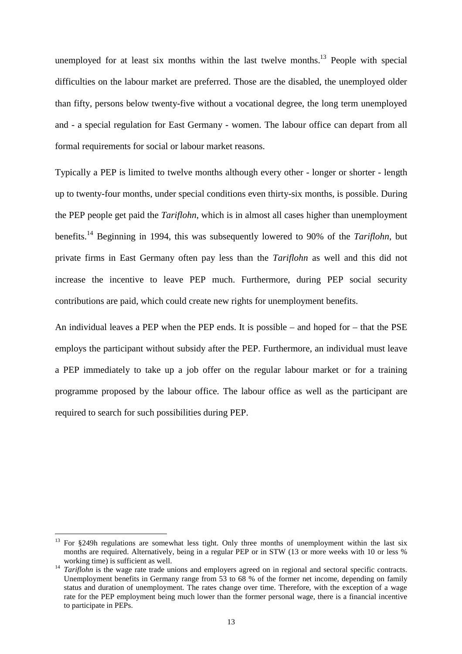unemployed for at least six months within the last twelve months.<sup>13</sup> People with special difficulties on the labour market are preferred. Those are the disabled, the unemployed older than fifty, persons below twenty-five without a vocational degree, the long term unemployed and - a special regulation for East Germany - women. The labour office can depart from all formal requirements for social or labour market reasons.

Typically a PEP is limited to twelve months although every other - longer or shorter - length up to twenty-four months, under special conditions even thirty-six months, is possible. During the PEP people get paid the *Tariflohn*, which is in almost all cases higher than unemployment benefits.14 Beginning in 1994, this was subsequently lowered to 90% of the *Tariflohn*, but private firms in East Germany often pay less than the *Tariflohn* as well and this did not increase the incentive to leave PEP much. Furthermore, during PEP social security contributions are paid, which could create new rights for unemployment benefits.

An individual leaves a PEP when the PEP ends. It is possible – and hoped for – that the PSE employs the participant without subsidy after the PEP. Furthermore, an individual must leave a PEP immediately to take up a job offer on the regular labour market or for a training programme proposed by the labour office. The labour office as well as the participant are required to search for such possibilities during PEP.

 $13$  For §249h regulations are somewhat less tight. Only three months of unemployment within the last six months are required. Alternatively, being in a regular PEP or in STW (13 or more weeks with 10 or less %

working time) is sufficient as well.<br><sup>14</sup> *Tariflohn* is the wage rate trade unions and employers agreed on in regional and sectoral specific contracts. Unemployment benefits in Germany range from 53 to 68 % of the former net income, depending on family status and duration of unemployment. The rates change over time. Therefore, with the exception of a wage rate for the PEP employment being much lower than the former personal wage, there is a financial incentive to participate in PEPs.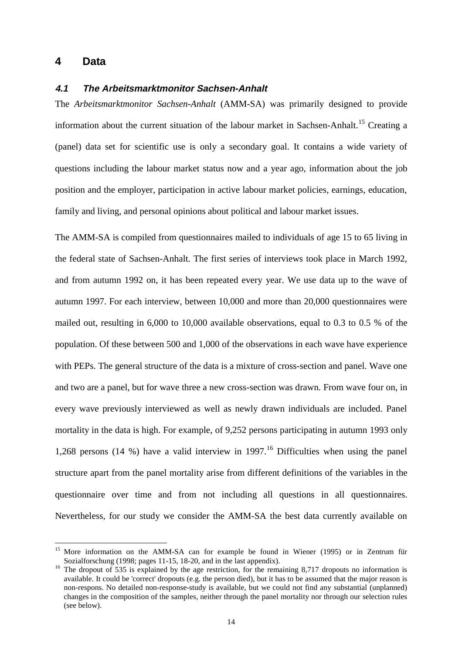## **4 Data**

 $\overline{a}$ 

#### **4.1 The Arbeitsmarktmonitor Sachsen-Anhalt**

The *Arbeitsmarktmonitor Sachsen-Anhalt* (AMM-SA) was primarily designed to provide information about the current situation of the labour market in Sachsen-Anhalt.<sup>15</sup> Creating a (panel) data set for scientific use is only a secondary goal. It contains a wide variety of questions including the labour market status now and a year ago, information about the job position and the employer, participation in active labour market policies, earnings, education, family and living, and personal opinions about political and labour market issues.

The AMM-SA is compiled from questionnaires mailed to individuals of age 15 to 65 living in the federal state of Sachsen-Anhalt. The first series of interviews took place in March 1992, and from autumn 1992 on, it has been repeated every year. We use data up to the wave of autumn 1997. For each interview, between 10,000 and more than 20,000 questionnaires were mailed out, resulting in 6,000 to 10,000 available observations, equal to 0.3 to 0.5 % of the population. Of these between 500 and 1,000 of the observations in each wave have experience with PEPs. The general structure of the data is a mixture of cross-section and panel. Wave one and two are a panel, but for wave three a new cross-section was drawn. From wave four on, in every wave previously interviewed as well as newly drawn individuals are included. Panel mortality in the data is high. For example, of 9,252 persons participating in autumn 1993 only 1,268 persons (14 %) have a valid interview in 1997.<sup>16</sup> Difficulties when using the panel structure apart from the panel mortality arise from different definitions of the variables in the questionnaire over time and from not including all questions in all questionnaires. Nevertheless, for our study we consider the AMM-SA the best data currently available on

<sup>15</sup> More information on the AMM-SA can for example be found in Wiener (1995) or in Zentrum für Sozialforschung (1998; pages 11-15, 18-20, and in the last appendix).<br><sup>16</sup> The dropout of 535 is explained by the age restriction, for the remaining 8,717 dropouts no information is

available. It could be 'correct' dropouts (e.g. the person died), but it has to be assumed that the major reason is non-respons. No detailed non-response-study is available, but we could not find any substantial (unplanned) changes in the composition of the samples, neither through the panel mortality nor through our selection rules (see below).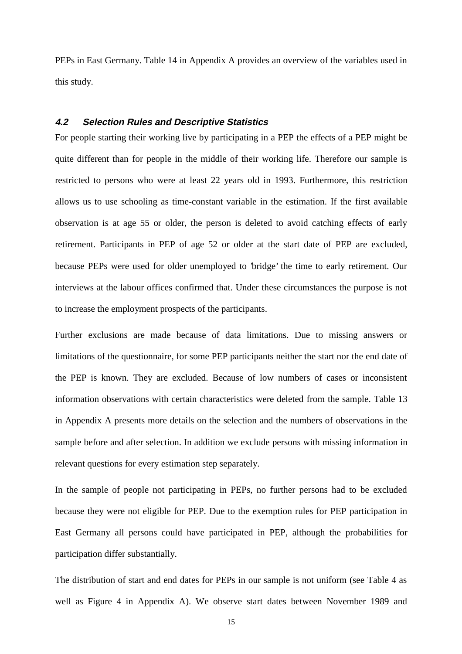PEPs in East Germany. Table 14 in Appendix A provides an overview of the variables used in this study.

#### **4.2 Selection Rules and Descriptive Statistics**

For people starting their working live by participating in a PEP the effects of a PEP might be quite different than for people in the middle of their working life. Therefore our sample is restricted to persons who were at least 22 years old in 1993. Furthermore, this restriction allows us to use schooling as time-constant variable in the estimation. If the first available observation is at age 55 or older, the person is deleted to avoid catching effects of early retirement. Participants in PEP of age 52 or older at the start date of PEP are excluded, because PEPs were used for older unemployed to 'bridge' the time to early retirement. Our interviews at the labour offices confirmed that. Under these circumstances the purpose is not to increase the employment prospects of the participants.

Further exclusions are made because of data limitations. Due to missing answers or limitations of the questionnaire, for some PEP participants neither the start nor the end date of the PEP is known. They are excluded. Because of low numbers of cases or inconsistent information observations with certain characteristics were deleted from the sample. Table 13 in Appendix A presents more details on the selection and the numbers of observations in the sample before and after selection. In addition we exclude persons with missing information in relevant questions for every estimation step separately.

In the sample of people not participating in PEPs, no further persons had to be excluded because they were not eligible for PEP. Due to the exemption rules for PEP participation in East Germany all persons could have participated in PEP, although the probabilities for participation differ substantially.

The distribution of start and end dates for PEPs in our sample is not uniform (see Table 4 as well as Figure 4 in Appendix A). We observe start dates between November 1989 and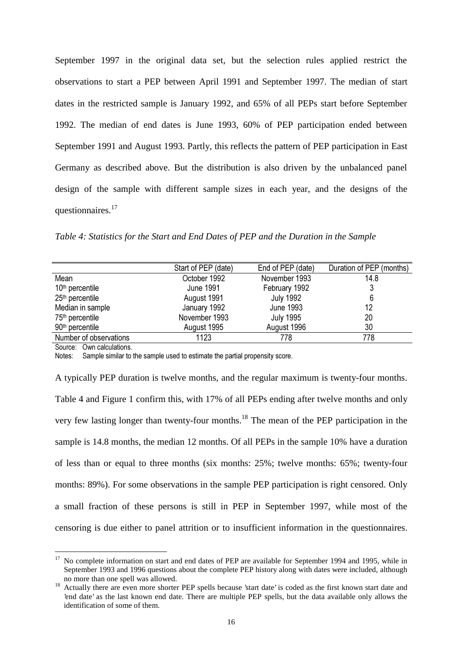September 1997 in the original data set, but the selection rules applied restrict the observations to start a PEP between April 1991 and September 1997. The median of start dates in the restricted sample is January 1992, and 65% of all PEPs start before September 1992. The median of end dates is June 1993, 60% of PEP participation ended between September 1991 and August 1993. Partly, this reflects the pattern of PEP participation in East Germany as described above. But the distribution is also driven by the unbalanced panel design of the sample with different sample sizes in each year, and the designs of the questionnaires.<sup>17</sup>

*Table 4: Statistics for the Start and End Dates of PEP and the Duration in the Sample*

| Start of PEP (date) | End of PEP (date) | Duration of PEP (months) |
|---------------------|-------------------|--------------------------|
| October 1992        | November 1993     | 14.8                     |
| <b>June 1991</b>    | February 1992     | J                        |
| August 1991         | <b>July 1992</b>  | 6                        |
| January 1992        | June 1993         | 12                       |
| November 1993       | <b>July 1995</b>  | 20                       |
| August 1995         | August 1996       | 30                       |
| 1123                | 778               | 778                      |
|                     |                   |                          |

Source: Own calculations.

 $\overline{a}$ 

Notes: Sample similar to the sample used to estimate the partial propensity score.

A typically PEP duration is twelve months, and the regular maximum is twenty-four months. Table 4 and Figure 1 confirm this, with 17% of all PEPs ending after twelve months and only very few lasting longer than twenty-four months.18 The mean of the PEP participation in the sample is 14.8 months, the median 12 months. Of all PEPs in the sample 10% have a duration of less than or equal to three months (six months: 25%; twelve months: 65%; twenty-four months: 89%). For some observations in the sample PEP participation is right censored. Only a small fraction of these persons is still in PEP in September 1997, while most of the censoring is due either to panel attrition or to insufficient information in the questionnaires.

<sup>&</sup>lt;sup>17</sup> No complete information on start and end dates of PEP are available for September 1994 and 1995, while in September 1993 and 1996 questions about the complete PEP history along with dates were included, although no more than one spell was allowed.

<sup>&</sup>lt;sup>18</sup> Actually there are even more shorter PEP spells because 'start date' is coded as the first known start date and  $\frac{18}{100}$ 'end date' as the last known end date. There are multiple PEP spells, but the data available only allows the identification of some of them.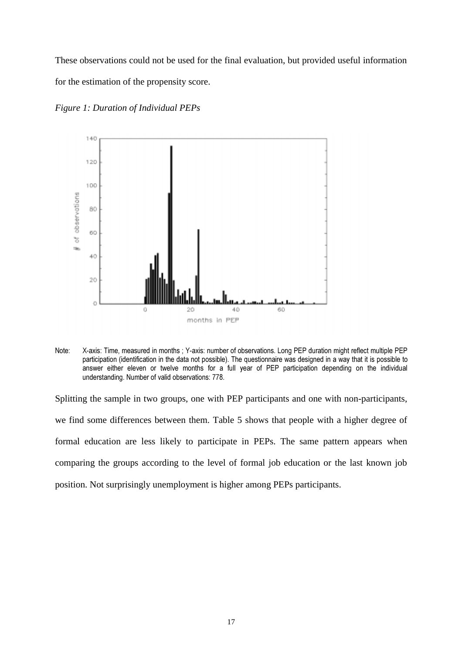These observations could not be used for the final evaluation, but provided useful information for the estimation of the propensity score.



*Figure 1: Duration of Individual PEPs*

Note: X-axis: Time, measured in months ; Y-axis: number of observations. Long PEP duration might reflect multiple PEP participation (identification in the data not possible). The questionnaire was designed in a way that it is possible to answer either eleven or twelve months for a full year of PEP participation depending on the individual understanding. Number of valid observations: 778.

Splitting the sample in two groups, one with PEP participants and one with non-participants, we find some differences between them. Table 5 shows that people with a higher degree of formal education are less likely to participate in PEPs. The same pattern appears when comparing the groups according to the level of formal job education or the last known job position. Not surprisingly unemployment is higher among PEPs participants.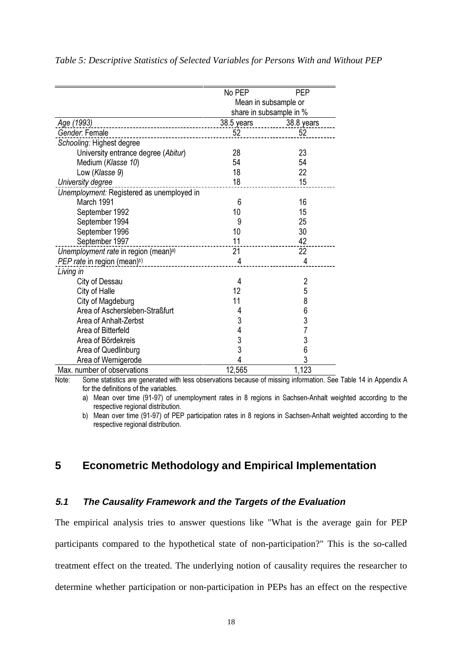|                                                  | No PEP     | <b>PEP</b>              |
|--------------------------------------------------|------------|-------------------------|
|                                                  |            | Mean in subsample or    |
|                                                  |            | share in subsample in % |
| Age (1993)                                       | 38.5 years | 38.8 years              |
| Gender. Female                                   | 52         | 52                      |
| Schooling: Highest degree                        |            |                         |
| University entrance degree (Abitur)              | 28         | 23                      |
| Medium (Klasse 10)                               | 54         | 54                      |
| Low (Klasse 9)                                   | 18         | 22                      |
| University degree                                | 18         | 15                      |
| Unemployment: Registered as unemployed in        |            |                         |
| March 1991                                       | 6          | 16                      |
| September 1992                                   | 10         | 15                      |
| September 1994                                   | 9          | 25                      |
| September 1996                                   | 10         | 30                      |
| September 1997                                   | 11         | 42                      |
| Unemployment rate in region (mean) <sup>a)</sup> | 21         | 22                      |
| PEP rate in region (mean) <sup>b)</sup>          | 4          | 4                       |
| Living in                                        |            |                         |
| City of Dessau                                   | 4          | $\overline{2}$          |
| City of Halle                                    | 12         | 5                       |
| City of Magdeburg                                | 11         | 8                       |
| Area of Aschersleben-Straßfurt                   | 4          | 6                       |
| Area of Anhalt-Zerbst                            | 3          | 3                       |
| Area of Bitterfeld                               | 4          | 7                       |
| Area of Bördekreis                               | 3          | 3                       |
| Area of Quedlinburg                              | 3          | 6                       |
| Area of Wernigerode                              | 4          | 3                       |
| Max. number of observations                      | 12,565     | 1,123                   |

#### *Table 5: Descriptive Statistics of Selected Variables for Persons With and Without PEP*

 $\overline{1}$ Note: Some statistics are generated with less observations because of missing information. See Table 14 in Appendix A for the definitions of the variables.

a) Mean over time (91-97) of unemployment rates in 8 regions in Sachsen-Anhalt weighted according to the respective regional distribution.

b) Mean over time (91-97) of PEP participation rates in 8 regions in Sachsen-Anhalt weighted according to the respective regional distribution.

## **5 Econometric Methodology and Empirical Implementation**

## **5.1 The Causality Framework and the Targets of the Evaluation**

The empirical analysis tries to answer questions like "What is the average gain for PEP participants compared to the hypothetical state of non-participation?" This is the so-called treatment effect on the treated. The underlying notion of causality requires the researcher to determine whether participation or non-participation in PEPs has an effect on the respective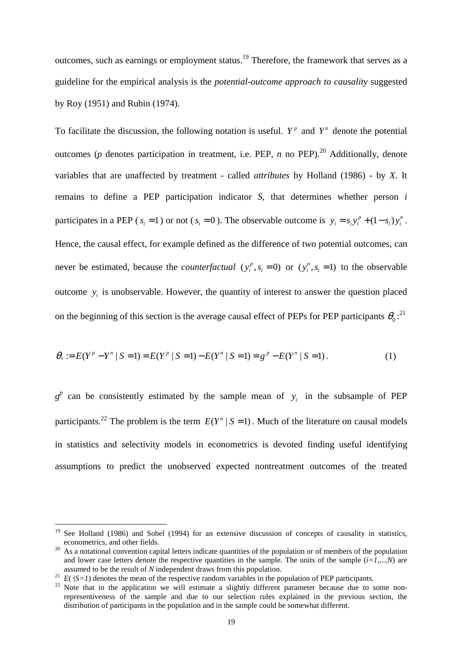outcomes, such as earnings or employment status.<sup>19</sup> Therefore, the framework that serves as a guideline for the empirical analysis is the *potential-outcome approach to causality* suggested by Roy (1951) and Rubin (1974).

To facilitate the discussion, the following notation is useful.  $Y^p$  and  $Y^n$  denote the potential outcomes ( $p$  denotes participation in treatment, i.e. PEP,  $n$  no PEP).<sup>20</sup> Additionally, denote variables that are unaffected by treatment - called *attributes* by Holland (1986) - by *X*. It remains to define a PEP participation indicator *S*, that determines whether person *i* participates in a PEP ( $s_i = 1$ ) or not ( $s_i = 0$ ). The observable outcome is  $y_i = s_i y_i^p + (1 - s_i) y_i^n$ . Hence, the causal effect, for example defined as the difference of two potential outcomes, can never be estimated, because the *counterfactual*  $(y_i^p, s_i = 0)$  or  $(y_i^p, s_i = 1)$  to the observable outcome  $y_i$  is unobservable. However, the quantity of interest to answer the question placed on the beginning of this section is the average causal effect of PEPs for PEP participants  $\theta_0$ :<sup>21</sup>

$$
\theta_{\circ} := E(Y^{p} - Y^{n} | S = 1) = E(Y^{p} | S = 1) - E(Y^{n} | S = 1) = g^{p} - E(Y^{n} | S = 1).
$$
\n(1)

 $g<sup>p</sup>$  can be consistently estimated by the sample mean of  $y<sub>i</sub>$  in the subsample of PEP participants.<sup>22</sup> The problem is the term  $E(Y^n | S = 1)$ . Much of the literature on causal models in statistics and selectivity models in econometrics is devoted finding useful identifying assumptions to predict the unobserved expected nontreatment outcomes of the treated

See Holland (1986) and Sobel (1994) for an extensive discussion of concepts of causality in statistics, econometrics, and other fields.

<sup>&</sup>lt;sup>20</sup> As a notational convention capital letters indicate quantities of the population or of members of the population and lower case letters denote the respective quantities in the sample. The units of the sample  $(i=1,...N)$  are assumed to be the result of *N* independent draws from this population.

<sup>&</sup>lt;sup>21</sup>  $E(\cdot|S=1)$  denotes the mean of the respective random variables in the population of PEP participants.

<sup>&</sup>lt;sup>22</sup> Note that in the application we will estimate a slightly different parameter because due to some nonrepresentiveness of the sample and due to our selection rules explained in the previous section, the distribution of participants in the population and in the sample could be somewhat different.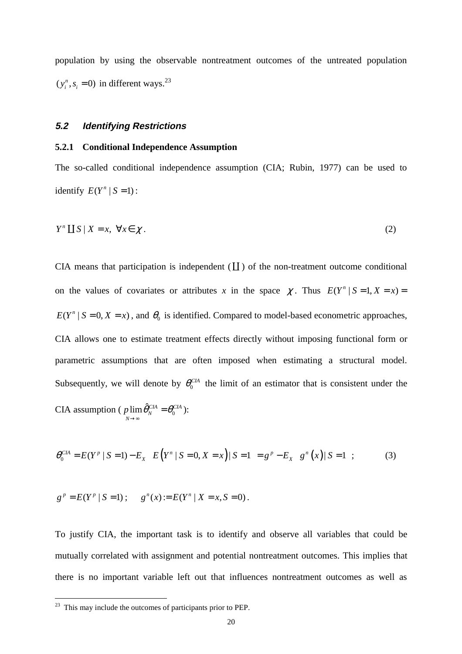population by using the observable nontreatment outcomes of the untreated population  $(y_i^n, s_i = 0)$  in different ways.<sup>23</sup>

### **5.2 Identifying Restrictions**

#### **5.2.1 Conditional Independence Assumption**

The so-called conditional independence assumption (CIA; Rubin, 1977) can be used to identify  $E(Y^n | S = 1)$ :

$$
Y^n \coprod S \mid X = x, \ \forall x \in \chi \,.
$$

CIA means that participation is independent  $(\mathbf{L})$  of the non-treatment outcome conditional on the values of covariates or attributes x in the space  $\chi$ . Thus  $E(Y^n | S = 1, X = x) =$  $E(Y^n | S = 0, X = x)$ , and  $\theta_0$  is identified. Compared to model-based econometric approaches, CIA allows one to estimate treatment effects directly without imposing functional form or parametric assumptions that are often imposed when estimating a structural model. Subsequently, we will denote by  $\theta_0^{\text{CIA}}$  the limit of an estimator that is consistent under the CIA assumption ( $p \lim_{N \to \infty} \hat{\theta}_N^{CIA} = \theta_0^{CIA}$  $p \lim \theta_N^{CIA} = \theta_0$ →∞  $=\theta_0^{CIA}$  ):

$$
\theta_0^{CIA} = E(Y^p \mid S=1) - E_X \left[ E(Y^n \mid S=0, X=x) \mid S=1 \right] = g^p - E_X \left[ g^n(x) \mid S=1 \right];
$$
 (3)

$$
g^p = E(Y^p | S = 1);
$$
  $g^n(x) := E(Y^n | X = x, S = 0).$ 

To justify CIA, the important task is to identify and observe all variables that could be mutually correlated with assignment and potential nontreatment outcomes. This implies that there is no important variable left out that influences nontreatment outcomes as well as

<sup>&</sup>lt;sup>23</sup> This may include the outcomes of participants prior to PEP.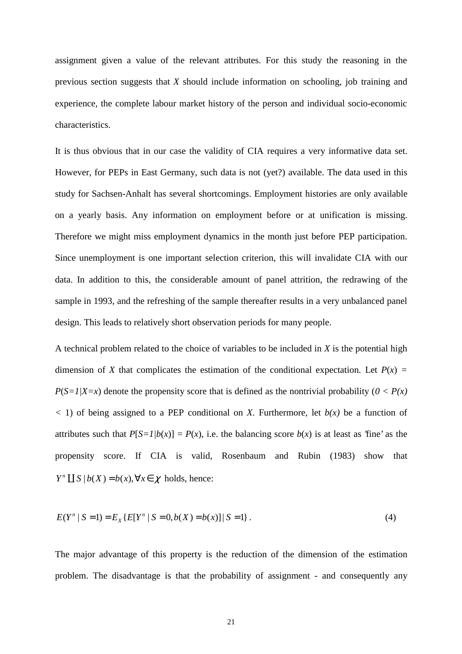assignment given a value of the relevant attributes. For this study the reasoning in the previous section suggests that *X* should include information on schooling, job training and experience, the complete labour market history of the person and individual socio-economic characteristics.

It is thus obvious that in our case the validity of CIA requires a very informative data set. However, for PEPs in East Germany, such data is not (yet?) available. The data used in this study for Sachsen-Anhalt has several shortcomings. Employment histories are only available on a yearly basis. Any information on employment before or at unification is missing. Therefore we might miss employment dynamics in the month just before PEP participation. Since unemployment is one important selection criterion, this will invalidate CIA with our data. In addition to this, the considerable amount of panel attrition, the redrawing of the sample in 1993, and the refreshing of the sample thereafter results in a very unbalanced panel design. This leads to relatively short observation periods for many people.

A technical problem related to the choice of variables to be included in *X* is the potential high dimension of *X* that complicates the estimation of the conditional expectation. Let  $P(x) =$  $P(S=1|X=x)$  denote the propensity score that is defined as the nontrivial probability ( $0 < P(x)$ )  $(1)$  of being assigned to a PEP conditional on *X*. Furthermore, let  $b(x)$  be a function of attributes such that  $P[S=1/b(x)] = P(x)$ , i.e. the balancing score  $b(x)$  is at least as 'fine' as the propensity score. If CIA is valid, Rosenbaum and Rubin (1983) show that  $Y^n \coprod S \mid b(X) = b(x), \forall x \in \chi$  holds, hence:

$$
E(Y^n | S = 1) = E_X \{ E[Y^n | S = 0, b(X) = b(x)] | S = 1 \}.
$$
\n(4)

The major advantage of this property is the reduction of the dimension of the estimation problem. The disadvantage is that the probability of assignment - and consequently any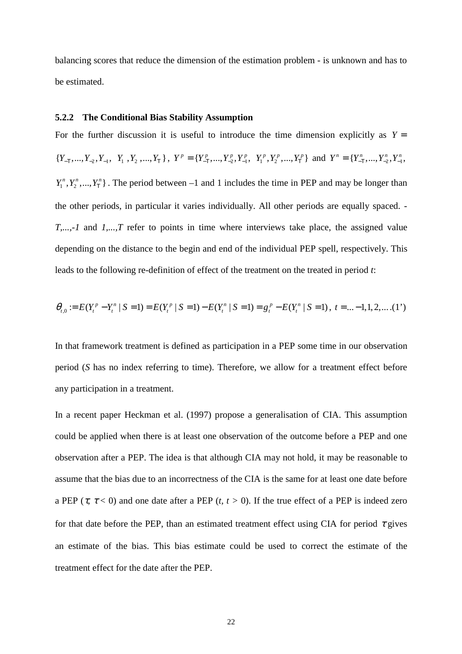balancing scores that reduce the dimension of the estimation problem - is unknown and has to be estimated.

#### **5.2.2 The Conditional Bias Stability Assumption**

For the further discussion it is useful to introduce the time dimension explicitly as  $Y =$  ${Y_{-T},...,Y_{-2},Y_{-1}, Y_1, Y_2,...,Y_T}$ ,  $Y^p = {Y_{-T}^p,...,Y_{-2}^p,Y_{-1}^p, Y_1^p,Y_2^p,...,Y_T^p}$  and  $Y^n = {Y_{-T}^n,...,Y_{-2}^n,Y_{-1}^n, Y_{-2}^p, Y_{-1}^p, Y_{-2}^p, Y_{-1}^p, Y_{-2}^p, Y_{-1}^p, Y_{-2}^p, Y_{-2}^p, Y_{-2}^p, Y_{-2}^p, Y_{-2}^p, Y_{-2}^p, Y_{-2}^p, Y_{$  $Y_1^n, Y_2^n, ..., Y_T^n$ . The period between –1 and 1 includes the time in PEP and may be longer than the other periods, in particular it varies individually. All other periods are equally spaced. *- T,...,-1* and *1,...,T* refer to points in time where interviews take place, the assigned value depending on the distance to the begin and end of the individual PEP spell, respectively. This leads to the following re-definition of effect of the treatment on the treated in period *t*:

$$
\theta_{t,0} := E(Y_t^p - Y_t^n | S = 1) = E(Y_t^p | S = 1) - E(Y_t^n | S = 1) = g_t^p - E(Y_t^n | S = 1), \ t = ... - 1, 1, 2, ... (1')
$$

In that framework treatment is defined as participation in a PEP some time in our observation period (*S* has no index referring to time). Therefore, we allow for a treatment effect before any participation in a treatment.

In a recent paper Heckman et al. (1997) propose a generalisation of CIA. This assumption could be applied when there is at least one observation of the outcome before a PEP and one observation after a PEP. The idea is that although CIA may not hold, it may be reasonable to assume that the bias due to an incorrectness of the CIA is the same for at least one date before a PEP ( $\tau$ ,  $\tau$  < 0) and one date after a PEP (*t*,  $t > 0$ ). If the true effect of a PEP is indeed zero for that date before the PEP, than an estimated treatment effect using CIA for period  $\tau$  gives an estimate of the bias. This bias estimate could be used to correct the estimate of the treatment effect for the date after the PEP.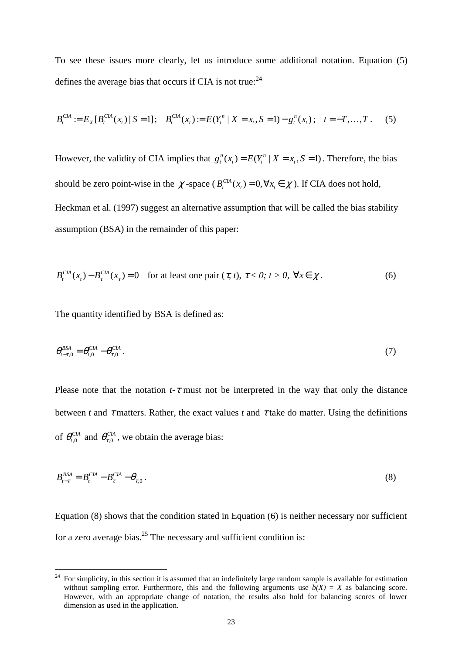To see these issues more clearly, let us introduce some additional notation. Equation (5) defines the average bias that occurs if CIA is not true:  $24$ 

$$
B_t^{CIA} := E_X[B_t^{CIA}(x_t) \mid S = 1]; \quad B_t^{CIA}(x_t) := E(Y_t^n \mid X = x_t, S = 1) - g_t^n(x_t); \quad t = -T, ..., T. \tag{5}
$$

However, the validity of CIA implies that  $g_t^n(x_t) = E(Y_t^n | X = x_t, S = 1)$ . Therefore, the bias should be zero point-wise in the  $\chi$ -space ( $B_t^{CIA}(x) = 0, \forall x \in \chi$ ). If CIA does not hold, Heckman et al. (1997) suggest an alternative assumption that will be called the bias stability assumption (BSA) in the remainder of this paper:

$$
B_t^{CIA}(x_t) - B_{\tau}^{CIA}(x_{\tau}) = 0 \quad \text{for at least one pair } (\tau, t), \ \tau < 0; \ t > 0, \ \forall x \in \chi. \tag{6}
$$

The quantity identified by BSA is defined as:

 $\overline{a}$ 

$$
\theta_{t-\tau,0}^{\text{BSA}} = \theta_{t,0}^{\text{CIA}} - \theta_{\tau,0}^{\text{CIA}} \,. \tag{7}
$$

Please note that the notation  $t-\tau$  must not be interpreted in the way that only the distance between *t* and  $\tau$  matters. Rather, the exact values *t* and  $\tau$  take do matter. Using the definitions of  $\theta_{t,0}^{CIA}$  and  $\theta_{\tau,0}^{CIA}$ , we obtain the average bias:

$$
B_{t-\tau}^{BSA} = B_t^{CIA} - B_\tau^{CIA} - \theta_{\tau,0} \,. \tag{8}
$$

Equation (8) shows that the condition stated in Equation (6) is neither necessary nor sufficient for a zero average bias. $25$  The necessary and sufficient condition is:

<sup>&</sup>lt;sup>24</sup> For simplicity, in this section it is assumed that an indefinitely large random sample is available for estimation without sampling error. Furthermore, this and the following arguments use  $b(X) = X$  as balancing score. However, with an appropriate change of notation, the results also hold for balancing scores of lower dimension as used in the application.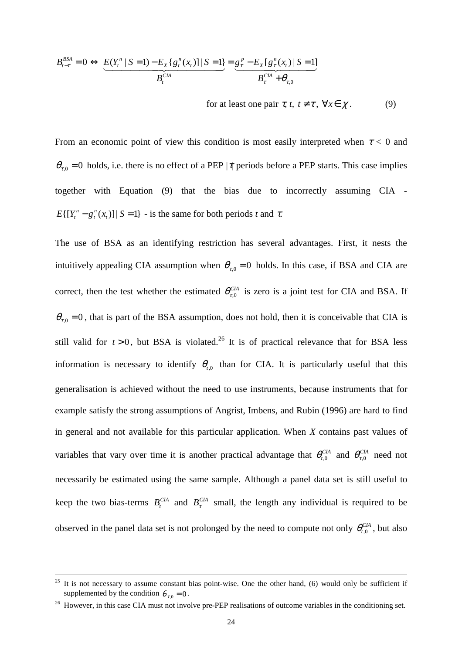$$
B_{t-\tau}^{BSA} = 0 \iff \underbrace{E(Y_t^n \mid S=1) - E_X \{g_t^n(x_t)\} \mid S=1\}}_{B_t^{CIA}} = \underbrace{g_t^p - E_X \{g_t^n(x_t) \mid S=1\}}_{B_t^{CIA}} \times B_{\tau}^{CIA}
$$

for at least one pair  $\tau$ ,  $t$ ,  $t \neq \tau$ ,  $\forall x \in \chi$ . (9)

From an economic point of view this condition is most easily interpreted when  $\tau < 0$  and  $\theta_{\tau,0} = 0$  holds, i.e. there is no effect of a PEP |τ| periods before a PEP starts. This case implies together with Equation (9) that the bias due to incorrectly assuming CIA -  $E\{[Y_i^n - g_i^n(x_i)] | S = 1\}$  - is the same for both periods *t* and  $\tau$ .

The use of BSA as an identifying restriction has several advantages. First, it nests the intuitively appealing CIA assumption when  $\theta_{\tau,0} = 0$  holds. In this case, if BSA and CIA are correct, then the test whether the estimated  $\theta_{\tau,0}^{CIA}$  is zero is a joint test for CIA and BSA. If  $\theta_{\tau,0} = 0$ , that is part of the BSA assumption, does not hold, then it is conceivable that CIA is still valid for  $t > 0$ , but BSA is violated.<sup>26</sup> It is of practical relevance that for BSA less information is necessary to identify  $\theta_{t,0}$  than for CIA. It is particularly useful that this generalisation is achieved without the need to use instruments, because instruments that for example satisfy the strong assumptions of Angrist, Imbens, and Rubin (1996) are hard to find in general and not available for this particular application. When *X* contains past values of variables that vary over time it is another practical advantage that  $\theta_{t,0}^{CIA}$  and  $\theta_{\tau,0}^{CIA}$  need not necessarily be estimated using the same sample. Although a panel data set is still useful to keep the two bias-terms  $B_t^{CH}$  and  $B_\tau^{CH}$  small, the length any individual is required to be observed in the panel data set is not prolonged by the need to compute not only  $\theta_{t,0}^{CIA}$ , but also

It is not necessary to assume constant bias point-wise. One the other hand, (6) would only be sufficient if supplemented by the condition  $\theta_{\tau,0} = 0$ .

<sup>&</sup>lt;sup>26</sup> However, in this case CIA must not involve pre-PEP realisations of outcome variables in the conditioning set.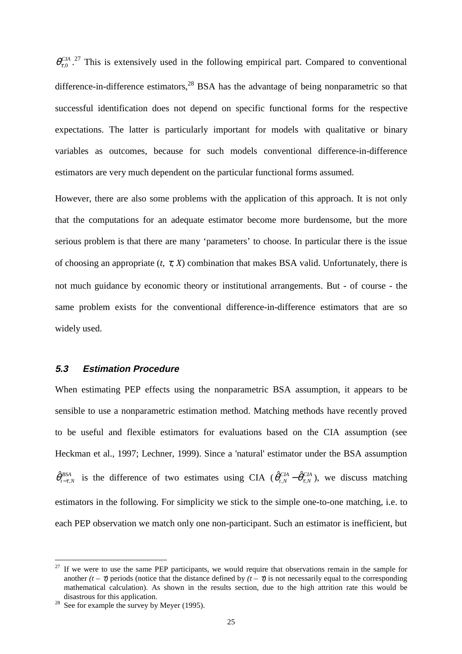$\theta_{\tau,0}^{CIA}$ <sup>27</sup> This is extensively used in the following empirical part. Compared to conventional difference-in-difference estimators, $^{28}$  BSA has the advantage of being nonparametric so that successful identification does not depend on specific functional forms for the respective expectations. The latter is particularly important for models with qualitative or binary variables as outcomes, because for such models conventional difference-in-difference estimators are very much dependent on the particular functional forms assumed.

However, there are also some problems with the application of this approach. It is not only that the computations for an adequate estimator become more burdensome, but the more serious problem is that there are many 'parameters' to choose. In particular there is the issue of choosing an appropriate (*t*, τ, *X*) combination that makes BSA valid. Unfortunately, there is not much guidance by economic theory or institutional arrangements. But - of course - the same problem exists for the conventional difference-in-difference estimators that are so widely used.

#### **5.3 Estimation Procedure**

When estimating PEP effects using the nonparametric BSA assumption, it appears to be sensible to use a nonparametric estimation method. Matching methods have recently proved to be useful and flexible estimators for evaluations based on the CIA assumption (see Heckman et al., 1997; Lechner, 1999). Since a 'natural' estimator under the BSA assumption  $\hat{\theta}_{t-\tau,N}^{BSA}$  is the difference of two estimates using CIA ( $\hat{\theta}_{t,N}^{CIA}$  – $\hat{\theta}_{\tau,N}^{CIA}$ ), we discuss matching estimators in the following. For simplicity we stick to the simple one-to-one matching, i.e. to each PEP observation we match only one non-participant. Such an estimator is inefficient, but

 $27$  If we were to use the same PEP participants, we would require that observations remain in the sample for another  $(t - \tau)$  periods (notice that the distance defined by  $(t - \tau)$  is not necessarily equal to the corresponding mathematical calculation). As shown in the results section, due to the high attrition rate this would be disastrous for this application.<br><sup>28</sup> See for example the survey by Meyer (1995).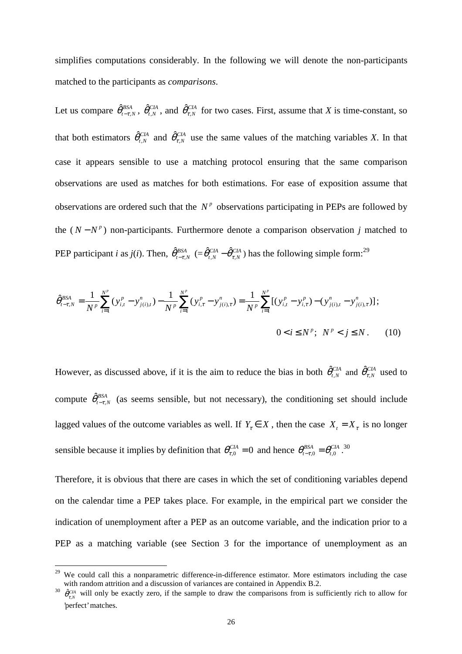simplifies computations considerably. In the following we will denote the non-participants matched to the participants as *comparisons*.

Let us compare  $\hat{\theta}^{BSA}_{t-\tau,N}$ ,  $\hat{\theta}^{CIA}_{t,N}$ , and  $\hat{\theta}^{CIA}_{\tau,N}$  for two cases. First, assume that *X* is time-constant, so that both estimators  $\hat{\theta}_{t,N}^{CIA}$  and  $\hat{\theta}_{t,N}^{CIA}$  use the same values of the matching variables *X*. In that case it appears sensible to use a matching protocol ensuring that the same comparison observations are used as matches for both estimations. For ease of exposition assume that observations are ordered such that the  $N^p$  observations participating in PEPs are followed by the  $(N - N^p)$  non-participants. Furthermore denote a comparison observation *j* matched to PEP participant *i* as *j*(*i*). Then,  $\hat{\theta}^{BSA}_{t-\tau,N}$  (= $\hat{\theta}^{CIA}_{t,N}$  – $\hat{\theta}^{CIA}_{\tau,N}$ ) has the following simple form:<sup>29</sup>

$$
\hat{\theta}_{t-\tau,N}^{BSA} = \frac{1}{N^p} \sum_{i=1}^{N^p} (y_{i,t}^p - y_{j(i),t}^n) - \frac{1}{N^p} \sum_{i=1}^{N^p} (y_{i,\tau}^p - y_{j(i),\tau}^n) = \frac{1}{N^p} \sum_{i=1}^{N^p} [(y_{i,t}^p - y_{i,\tau}^p) - (y_{j(i),t}^n - y_{j(i),\tau}^n)]
$$
\n
$$
0 < i \le N^p; \quad N^p < j \le N. \tag{10}
$$

However, as discussed above, if it is the aim to reduce the bias in both  $\hat{\theta}_{t,N}^{CIA}$  and  $\hat{\theta}_{t,N}^{CIA}$  used to compute  $\hat{\theta}^{BSA}_{t-\tau,N}$  (as seems sensible, but not necessary), the conditioning set should include lagged values of the outcome variables as well. If  $Y_\tau \in X$ , then the case  $X_t = X_\tau$  is no longer sensible because it implies by definition that  $\theta_{\tau,0}^{CIA} = 0$  and hence  $\theta_{t-\tau,0}^{BSA} = \theta_{t,0}^{CIA}$ .<sup>30</sup>

Therefore, it is obvious that there are cases in which the set of conditioning variables depend on the calendar time a PEP takes place. For example, in the empirical part we consider the indication of unemployment after a PEP as an outcome variable, and the indication prior to a PEP as a matching variable (see Section 3 for the importance of unemployment as an

<sup>&</sup>lt;sup>29</sup> We could call this a nonparametric difference-in-difference estimator. More estimators including the case with random attrition and a discussion of variances are contained in Appendix B.2.

<sup>30</sup>  $\hat{\theta}_{\tau,N}^{CA}$  will only be exactly zero, if the sample to draw the comparisons from is sufficiently rich to allow for 'perfect' matches.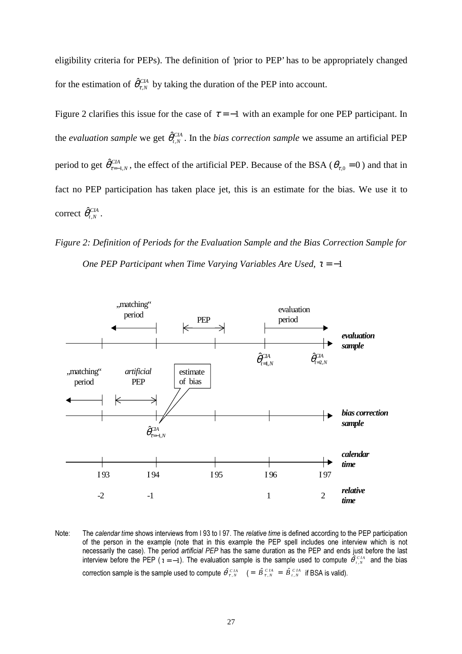eligibility criteria for PEPs). The definition of 'prior to PEP' has to be appropriately changed for the estimation of  $\hat{\theta}_{\tau,N}^{CIA}$  by taking the duration of the PEP into account.

Figure 2 clarifies this issue for the case of  $\tau = -1$  with an example for one PEP participant. In the *evaluation sample* we get  $\hat{\theta}_{t,N}^{CIA}$ . In the *bias correction sample* we assume an artificial PEP period to get  $\hat{\theta}_{\tau=1,N}^{CH}$ , the effect of the artificial PEP. Because of the BSA ( $\theta_{\tau,0} = 0$ ) and that in fact no PEP participation has taken place jet, this is an estimate for the bias. We use it to  $\operatorname{correct}\ \hat{\theta}_{t, N}^{CIA}$  .

*Figure 2: Definition of Periods for the Evaluation Sample and the Bias Correction Sample for One PEP Participant when Time Varying Variables Are Used, τ* = −1



Note: The calendar time shows interviews from I 93 to I 97. The relative time is defined according to the PEP participation of the person in the example (note that in this example the PEP spell includes one interview which is not necessarily the case). The period artificial PEP has the same duration as the PEP and ends just before the last interview before the PEP  $(z = -1)$ . The evaluation sample is the sample used to compute  $\hat{\theta}_{LN}^{CIA}$  and the bias correction sample is the sample used to compute  $\hat{\theta}_{\tau,N}^{CH} = \hat{B}_{\tau,N}^{CH} = \hat{B}_{\tau,N}^{CH}$  if BSA is valid).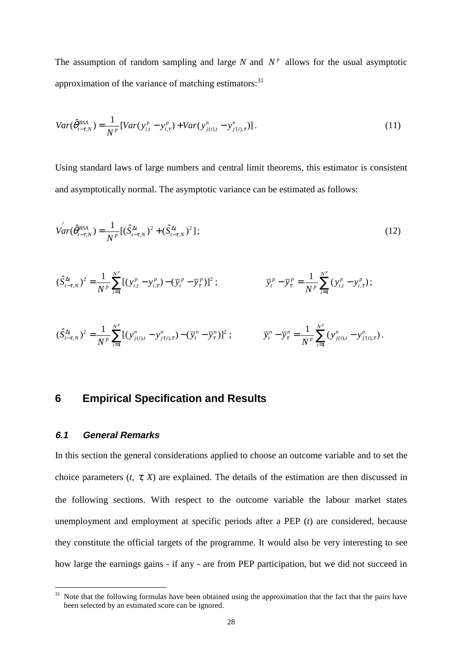The assumption of random sampling and large *N* and  $N<sup>p</sup>$  allows for the usual asymptotic approximation of the variance of matching estimators: $31$ 

$$
Var(\hat{\theta}_{t-\tau,N}^{BSA}) = \frac{1}{N^p} [Var(y_{i,t}^p - y_{i,\tau}^p) + Var(y_{j(i),t}^n - y_{j(i),\tau}^n)] \,. \tag{11}
$$

Using standard laws of large numbers and central limit theorems, this estimator is consistent and asymptotically normal. The asymptotic variance can be estimated as follows:

$$
\hat{Var}(\hat{\theta}_{t-\tau,N}^{BSA}) = \frac{1}{N^p} [(\hat{S}_{t-\tau,N}^{\Delta i})^2 + (\hat{S}_{t-\tau,N}^{\Delta j})^2];
$$
\n(12)

$$
(\hat{S}_{t-\tau,N}^{\Delta i})^2 = \frac{1}{N^p} \sum_{i=1}^{N^p} [ (y_{i,t}^p - y_{i,\tau}^p) - (\overline{y}_t^p - \overline{y}_\tau^p) ]^2 ; \qquad \qquad \overline{y}_t^p - \overline{y}_\tau^p = \frac{1}{N^p} \sum_{i=1}^{N^p} (y_{i,t}^p - y_{i,\tau}^p) ;
$$

$$
(\hat{S}_{t-\tau,N}^{\Delta j})^2 = \frac{1}{N^p} \sum_{i=1}^{N^p} [ (y_{j(i),t}^n - y_{j(i),\tau}^n) - (\overline{y}_t^n - \overline{y}_\tau^n)]^2 ; \qquad \qquad \overline{y}_t^n - \overline{y}_\tau^n = \frac{1}{N^p} \sum_{i=1}^{N^p} (y_{j(i),t}^n - y_{j(i),\tau}^n).
$$

## **6 Empirical Specification and Results**

#### **6.1 General Remarks**

 $\overline{a}$ 

In this section the general considerations applied to choose an outcome variable and to set the choice parameters  $(t, \tau, X)$  are explained. The details of the estimation are then discussed in the following sections. With respect to the outcome variable the labour market states unemployment and employment at specific periods after a PEP (*t*) are considered, because they constitute the official targets of the programme. It would also be very interesting to see how large the earnings gains - if any - are from PEP participation, but we did not succeed in

<sup>&</sup>lt;sup>31</sup> Note that the following formulas have been obtained using the approximation that the fact that the pairs have been selected by an estimated score can be ignored.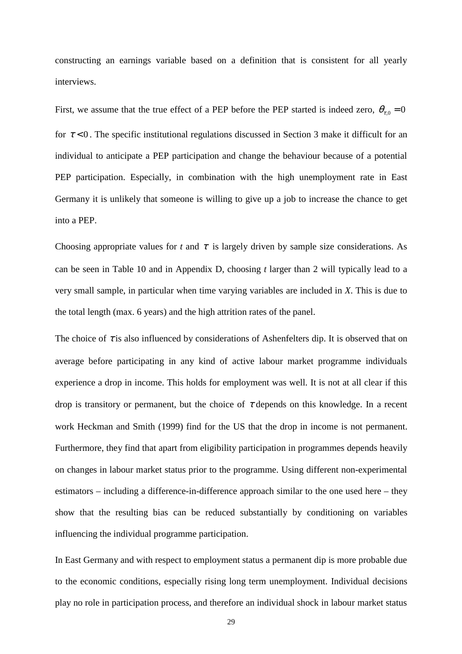constructing an earnings variable based on a definition that is consistent for all yearly interviews.

First, we assume that the true effect of a PEP before the PEP started is indeed zero,  $\theta_{\tau,0} = 0$ for  $\tau$  < 0. The specific institutional regulations discussed in Section 3 make it difficult for an individual to anticipate a PEP participation and change the behaviour because of a potential PEP participation. Especially, in combination with the high unemployment rate in East Germany it is unlikely that someone is willing to give up a job to increase the chance to get into a PEP.

Choosing appropriate values for  $t$  and  $\tau$  is largely driven by sample size considerations. As can be seen in Table 10 and in Appendix D, choosing *t* larger than 2 will typically lead to a very small sample, in particular when time varying variables are included in *X*. This is due to the total length (max. 6 years) and the high attrition rates of the panel.

The choice of  $\tau$  is also influenced by considerations of Ashenfelters dip. It is observed that on average before participating in any kind of active labour market programme individuals experience a drop in income. This holds for employment was well. It is not at all clear if this drop is transitory or permanent, but the choice of  $\tau$  depends on this knowledge. In a recent work Heckman and Smith (1999) find for the US that the drop in income is not permanent. Furthermore, they find that apart from eligibility participation in programmes depends heavily on changes in labour market status prior to the programme. Using different non-experimental estimators – including a difference-in-difference approach similar to the one used here – they show that the resulting bias can be reduced substantially by conditioning on variables influencing the individual programme participation.

In East Germany and with respect to employment status a permanent dip is more probable due to the economic conditions, especially rising long term unemployment. Individual decisions play no role in participation process, and therefore an individual shock in labour market status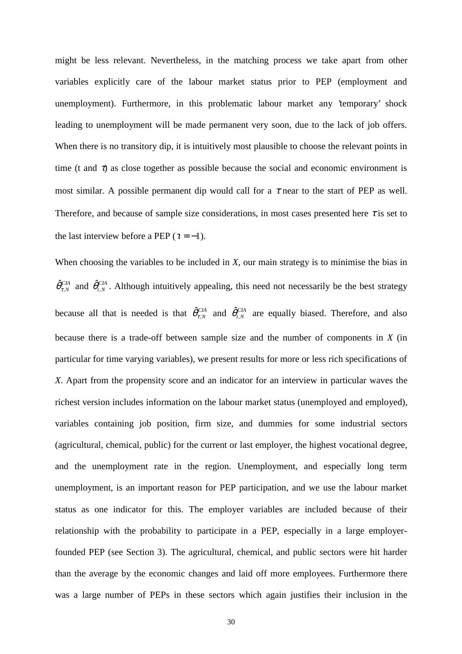might be less relevant. Nevertheless, in the matching process we take apart from other variables explicitly care of the labour market status prior to PEP (employment and unemployment). Furthermore, in this problematic labour market any 'temporary' shock leading to unemployment will be made permanent very soon, due to the lack of job offers. When there is no transitory dip, it is intuitively most plausible to choose the relevant points in time (t and  $\tau$ ) as close together as possible because the social and economic environment is most similar. A possible permanent dip would call for a  $\tau$  near to the start of PEP as well. Therefore, and because of sample size considerations, in most cases presented here  $\tau$  is set to the last interview before a PEP ( $\tau = -1$ ).

When choosing the variables to be included in *X*, our main strategy is to minimise the bias in  $\hat{\theta}_{\tau,N}^{CH}$  and  $\hat{\theta}_{t,N}^{CH}$ . Although intuitively appealing, this need not necessarily be the best strategy because all that is needed is that  $\hat{\theta}_{r,N}^{CH}$  and  $\hat{\theta}_{r,N}^{CH}$  are equally biased. Therefore, and also because there is a trade-off between sample size and the number of components in *X* (in particular for time varying variables), we present results for more or less rich specifications of *X*. Apart from the propensity score and an indicator for an interview in particular waves the richest version includes information on the labour market status (unemployed and employed), variables containing job position, firm size, and dummies for some industrial sectors (agricultural, chemical, public) for the current or last employer, the highest vocational degree, and the unemployment rate in the region. Unemployment, and especially long term unemployment, is an important reason for PEP participation, and we use the labour market status as one indicator for this. The employer variables are included because of their relationship with the probability to participate in a PEP, especially in a large employerfounded PEP (see Section 3). The agricultural, chemical, and public sectors were hit harder than the average by the economic changes and laid off more employees. Furthermore there was a large number of PEPs in these sectors which again justifies their inclusion in the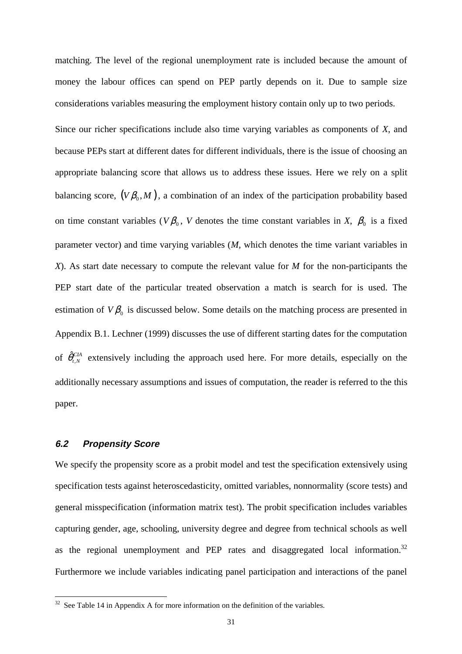matching. The level of the regional unemployment rate is included because the amount of money the labour offices can spend on PEP partly depends on it. Due to sample size considerations variables measuring the employment history contain only up to two periods.

Since our richer specifications include also time varying variables as components of *X*, and because PEPs start at different dates for different individuals, there is the issue of choosing an appropriate balancing score that allows us to address these issues. Here we rely on a split balancing score,  $(V\beta_0, M)$ , a combination of an index of the participation probability based on time constant variables ( $V\beta_0$ , *V* denotes the time constant variables in *X*,  $\beta_0$  is a fixed parameter vector) and time varying variables (*M*, which denotes the time variant variables in *X*). As start date necessary to compute the relevant value for *M* for the non-participants the PEP start date of the particular treated observation a match is search for is used. The estimation of  $V_{\beta_0}$  is discussed below. Some details on the matching process are presented in Appendix B.1. Lechner (1999) discusses the use of different starting dates for the computation of  $\hat{\theta}_{t,N}^{CIA}$  extensively including the approach used here. For more details, especially on the additionally necessary assumptions and issues of computation, the reader is referred to the this paper.

#### **6.2 Propensity Score**

 $\overline{a}$ 

We specify the propensity score as a probit model and test the specification extensively using specification tests against heteroscedasticity, omitted variables, nonnormality (score tests) and general misspecification (information matrix test). The probit specification includes variables capturing gender, age, schooling, university degree and degree from technical schools as well as the regional unemployment and PEP rates and disaggregated local information.<sup>32</sup> Furthermore we include variables indicating panel participation and interactions of the panel

 $32$  See Table 14 in Appendix A for more information on the definition of the variables.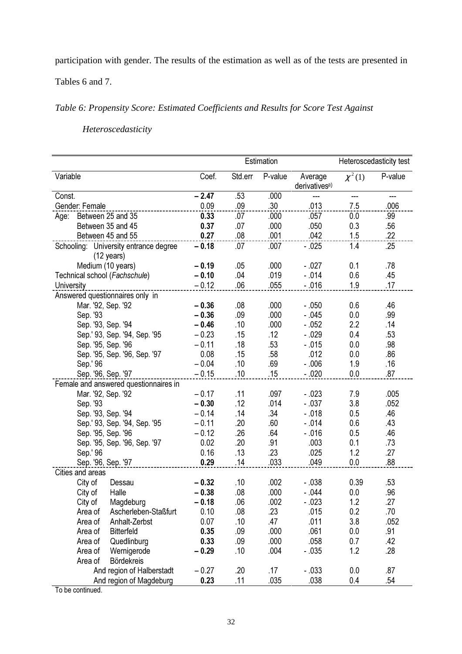participation with gender. The results of the estimation as well as of the tests are presented in

Tables 6 and 7.

## *Table 6: Propensity Score: Estimated Coefficients and Results for Score Test Against*

*Heteroscedasticity*

|                        |          |                                                               |         | Estimation |                  |                                      |             | Heteroscedasticity test |  |
|------------------------|----------|---------------------------------------------------------------|---------|------------|------------------|--------------------------------------|-------------|-------------------------|--|
| Variable               |          |                                                               | Coef.   | Std.err    | P-value          | Average<br>derivatives <sup>a)</sup> | $\chi^2(1)$ | P-value                 |  |
| Const.                 |          |                                                               | $-2.47$ | .53        | .000             | ---                                  | ---         | ---                     |  |
| Gender: Female         |          |                                                               | 0.09    | .09        | .30 <sub>0</sub> | .013                                 | 7.5         | .006                    |  |
| Age: Between 25 and 35 |          |                                                               | 0.33    | .07        | .000             | .057                                 | 0.0         | .99                     |  |
|                        |          | Between 35 and 45                                             | 0.37    | .07        | .000             | .050                                 | 0.3         | .56                     |  |
|                        |          | Between 45 and 55                                             | 0.27    | .08        | .001             | .042                                 | 1.5         | .22                     |  |
|                        |          | Schooling: University entrance degree<br>$(12 \text{ years})$ | $-0.18$ | .07        | .007             | $-.025$                              | 1.4         | .25                     |  |
|                        |          | Medium (10 years)                                             | $-0.19$ | .05        | .000             | $-027$                               | 0.1         | .78                     |  |
|                        |          | Technical school (Fachschule)                                 | $-0.10$ | .04        | .019             | $-.014$                              | 0.6         | .45                     |  |
| University             |          |                                                               | $-0.12$ | .06        | .055             | $-.016$                              | 1.9         | .17                     |  |
|                        |          | Answered questionnaires only in                               |         |            |                  |                                      |             |                         |  |
|                        |          | Mar. '92, Sep. '92                                            | $-0.36$ | .08        | .000             | $-.050$                              | 0.6         | .46                     |  |
|                        | Sep. '93 |                                                               | $-0.36$ | .09        | .000             | $-.045$                              | 0.0         | .99                     |  |
|                        |          | Sep. '93, Sep. '94                                            | $-0.46$ | .10        | .000             | $-.052$                              | 2.2         | .14                     |  |
|                        |          | Sep.' 93, Sep. '94, Sep. '95                                  | $-0.23$ | .15        | .12              | $-.029$                              | 0.4         | .53                     |  |
|                        |          | Sep. '95, Sep. '96                                            | $-0.11$ | .18        | .53              | $-.015$                              | 0.0         | .98                     |  |
|                        |          | Sep. '95, Sep. '96, Sep. '97                                  | 0.08    | .15        | .58              | .012                                 | 0.0         | .86                     |  |
|                        | Sep.' 96 |                                                               | $-0.04$ | .10        | .69              | $-0.06$                              | 1.9         | .16                     |  |
| Sep. '96, Sep. '97     |          |                                                               | $-0.15$ | .10        | .15              | $-.020$                              | 0.0         | .87                     |  |
|                        |          | Female and answered questionnaires in                         |         |            |                  |                                      |             |                         |  |
|                        |          | Mar. '92, Sep. '92                                            | $-0.17$ | .11        | .097             | $-.023$                              | 7.9         | .005                    |  |
|                        | Sep. '93 |                                                               | $-0.30$ | .12        | .014             | $-037$                               | 3.8         | .052                    |  |
|                        |          | Sep. '93, Sep. '94                                            | $-0.14$ | .14        | .34              | $-.018$                              | 0.5         | .46                     |  |
|                        |          | Sep.' 93, Sep. '94, Sep. '95                                  | $-0.11$ | .20        | .60              | $-.014$                              | 0.6         | .43                     |  |
|                        |          | Sep. '95, Sep. '96                                            | $-0.12$ | .26        | .64              | $-.016$                              | 0.5         | .46                     |  |
|                        |          | Sep. '95, Sep. '96, Sep. '97                                  | 0.02    | .20        | .91              | .003                                 | 0.1         | .73                     |  |
|                        | Sep.' 96 |                                                               | 0.16    | .13        | .23              | .025                                 | 1.2         | .27                     |  |
|                        |          | Sep. '96, Sep. '97                                            | 0.29    | .14        | .033             | .049                                 | 0.0         | .88                     |  |
| Cities and areas       |          |                                                               |         |            |                  |                                      |             |                         |  |
|                        | City of  | Dessau                                                        | $-0.32$ | .10        | .002             | $-.038$                              | 0.39        | .53                     |  |
|                        | City of  | Halle                                                         | $-0.38$ | .08        | .000             | $-044$                               | 0.0         | .96                     |  |
|                        | City of  | Magdeburg                                                     | $-0.18$ | .06        | .002             | $-.023$                              | 1.2         | .27                     |  |
|                        | Area of  | Ascherleben-Staßfurt                                          | 0.10    | .08        | .23              | .015                                 | 0.2         | .70                     |  |
|                        | Area of  | Anhalt-Zerbst                                                 | 0.07    | .10        | .47              | .011                                 | 3.8         | .052                    |  |
|                        | Area of  | <b>Bitterfeld</b>                                             | 0.35    | .09        | .000             | .061                                 | 0.0         | .91                     |  |
|                        | Area of  | Quedlinburg                                                   | 0.33    | .09        | .000             | .058                                 | 0.7         | .42                     |  |
|                        | Area of  | Wernigerode                                                   | $-0.29$ | .10        | .004             | $-.035$                              | 1.2         | .28                     |  |
|                        | Area of  | <b>Bördekreis</b>                                             |         |            |                  |                                      |             |                         |  |
|                        |          | And region of Halberstadt                                     | $-0.27$ | .20        | .17              | $-.033$                              | 0.0         | .87                     |  |
|                        |          | And region of Magdeburg                                       | 0.23    | .11        | .035             | .038                                 | 0.4         | .54                     |  |

To be continued.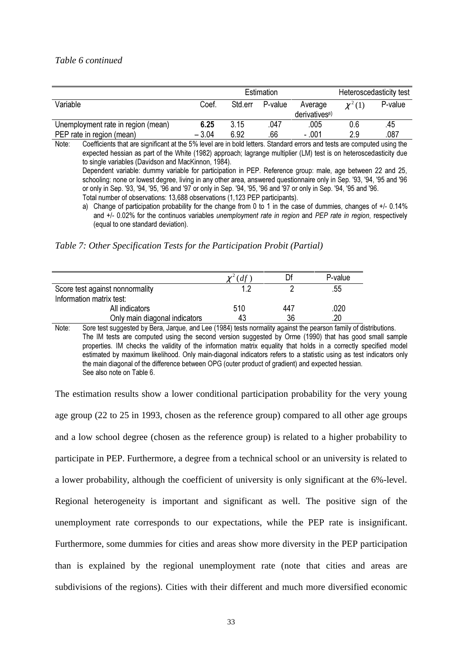#### *Table 6 continued*

|                                    | Estimation |         |         |                                      | Heteroscedasticity test |         |
|------------------------------------|------------|---------|---------|--------------------------------------|-------------------------|---------|
| Variable                           | Coef       | Std.err | P-value | Average<br>derivatives <sup>a)</sup> | $\chi^2(1)$             | P-value |
| Unemployment rate in region (mean) | 6.25       | 3.15    | .047    | .005                                 | 0.6                     | .45     |
| PEP rate in region (mean)          | $-3.04$    | 6.92    | .66     | - .001                               | 2.9                     | .087    |

Note: Coefficients that are significant at the 5% level are in bold letters. Standard errors and tests are computed using the expected hessian as part of the White (1982) approach: lagrange multiplier (LM) test is on heteroscedasticity due to single variables (Davidson and MacKinnon, 1984). Dependent variable: dummy variable for participation in PEP. Reference group: male, age between 22 and 25, schooling: none or lowest degree, living in any other area, answered questionnaire only in Sep. '93, '94, '95 and '96

or only in Sep. '93, '94, '95, '96 and '97 or only in Sep. '94, '95, '96 and '97 or only in Sep. '94, '95 and '96.

Total number of observations: 13,688 observations (1,123 PEP participants).

a) Change of participation probability for the change from 0 to 1 in the case of dummies, changes of  $+/- 0.14\%$ and  $+/-$  0.02% for the continuos variables unemployment rate in region and PEP rate in region, respectively (equal to one standard deviation).

*Table 7: Other Specification Tests for the Participation Probit (Partial)*

|                                 | (df) |     | P-value |
|---------------------------------|------|-----|---------|
| Score test against nonnormality | 1 າ  |     | .55     |
| Information matrix test:        |      |     |         |
| All indicators                  | 510  | 447 | 020     |
| Only main diagonal indicators   | 43   | 36  | 20      |

Note: Sore test suggested by Bera, Jargue, and Lee (1984) tests normality against the pearson family of distributions. The IM tests are computed using the second version suggested by Orme (1990) that has good small sample properties. IM checks the validity of the information matrix equality that holds in a correctly specified model estimated by maximum likelihood. Only main-diagonal indicators refers to a statistic using as test indicators only the main diagonal of the difference between OPG (outer product of gradient) and expected hessian. See also note on Table 6.

The estimation results show a lower conditional participation probability for the very young age group (22 to 25 in 1993, chosen as the reference group) compared to all other age groups and a low school degree (chosen as the reference group) is related to a higher probability to participate in PEP. Furthermore, a degree from a technical school or an university is related to a lower probability, although the coefficient of university is only significant at the 6%-level. Regional heterogeneity is important and significant as well. The positive sign of the unemployment rate corresponds to our expectations, while the PEP rate is insignificant. Furthermore, some dummies for cities and areas show more diversity in the PEP participation than is explained by the regional unemployment rate (note that cities and areas are subdivisions of the regions). Cities with their different and much more diversified economic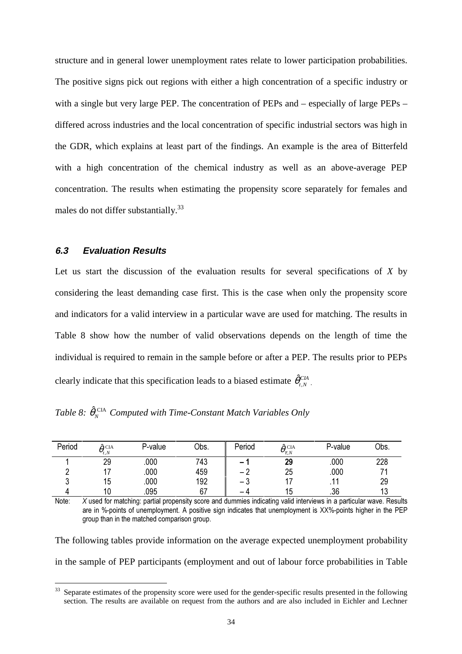structure and in general lower unemployment rates relate to lower participation probabilities. The positive signs pick out regions with either a high concentration of a specific industry or with a single but very large PEP. The concentration of PEPs and – especially of large PEPs – differed across industries and the local concentration of specific industrial sectors was high in the GDR, which explains at least part of the findings. An example is the area of Bitterfeld with a high concentration of the chemical industry as well as an above-average PEP concentration. The results when estimating the propensity score separately for females and males do not differ substantially.<sup>33</sup>

### **6.3 Evaluation Results**

 $\overline{a}$ 

Let us start the discussion of the evaluation results for several specifications of *X* by considering the least demanding case first. This is the case when only the propensity score and indicators for a valid interview in a particular wave are used for matching. The results in Table 8 show how the number of valid observations depends on the length of time the individual is required to remain in the sample before or after a PEP. The results prior to PEPs clearly indicate that this specification leads to a biased estimate  $\hat{\theta}^{\text{CIA}}_{t,N}$ .

|  |  |  |  | Table 8: $\hat{\theta}_N^{\text{CIA}}$ Computed with Time-Constant Match Variables Only |  |  |  |
|--|--|--|--|-----------------------------------------------------------------------------------------|--|--|--|
|--|--|--|--|-----------------------------------------------------------------------------------------|--|--|--|

| Period | $\hat{\alpha}$ CIA<br>$\theta_{t,N}$ | P-value | Obs. | Period                   | $\hat{\theta}_{\tau, N}^{\ \rm CIA}$ | P-value | Obs. |
|--------|--------------------------------------|---------|------|--------------------------|--------------------------------------|---------|------|
|        | 29                                   | .000    | 743  | $\overline{\phantom{a}}$ | 29                                   | .000    | 228  |
|        |                                      | .000    | 459  | $\overline{\phantom{0}}$ | 25                                   | .000    |      |
| u      | 15                                   | .000    | 192  | ں —                      |                                      |         | 29   |
|        | 10                                   | .095    | 67   | -                        | 15                                   | .36     | 13   |

Note: X used for matching: partial propensity score and dummies indicating valid interviews in a particular wave. Results are in %-points of unemployment. A positive sign indicates that unemployment is XX%-points higher in the PEP group than in the matched comparison group.

The following tables provide information on the average expected unemployment probability in the sample of PEP participants (employment and out of labour force probabilities in Table

<sup>&</sup>lt;sup>33</sup> Separate estimates of the propensity score were used for the gender-specific results presented in the following section. The results are available on request from the authors and are also included in Eichler and Lechner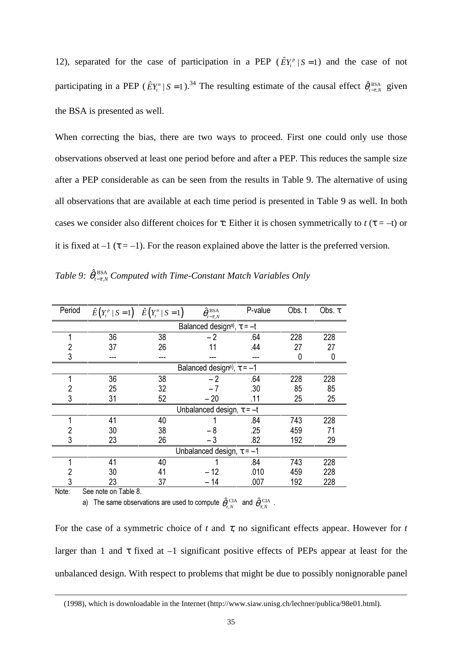12), separated for the case of participation in a PEP ( $\hat{E}Y_t^p | S = 1$ ) and the case of not participating in a PEP ( $\hat{E}Y_t^n | S = 1$ ).<sup>34</sup> The resulting estimate of the causal effect  $\hat{\theta}_{t-\tau,N}^{BSA}$  given the BSA is presented as well.

When correcting the bias, there are two ways to proceed. First one could only use those observations observed at least one period before and after a PEP. This reduces the sample size after a PEP considerable as can be seen from the results in Table 9. The alternative of using all observations that are available at each time period is presented in Table 9 as well. In both cases we consider also different choices for  $\tau$ : Either it is chosen symmetrically to  $t(\tau = -t)$  or it is fixed at  $-1$  ( $\tau = -1$ ). For the reason explained above the latter is the preferred version.

Table 9:  $\hat{\theta}_{t-\tau,N}^{BSA}$  Computed with Time-Constant Match Variables Only

| Period | $\hat{E}\left(Y_t^p \mid S=1\right) \quad \hat{E}\left(Y_t^n \mid S=1\right)$ |     | $\hat{\theta}_{{\scriptscriptstyle t-\tau},\scriptscriptstyle N}^{\rm \,BSA}$ | P-value | Obs. t | Obs. $\tau$ |  |  |  |
|--------|-------------------------------------------------------------------------------|-----|-------------------------------------------------------------------------------|---------|--------|-------------|--|--|--|
|        |                                                                               |     | Balanced design <sup>a)</sup> , $\tau = -t$                                   |         |        |             |  |  |  |
|        | 36                                                                            | 38  | $-2$                                                                          | .64     | 228    | 228         |  |  |  |
|        | 37                                                                            | 26  |                                                                               | .44     | 27     | 27          |  |  |  |
| 3      | ---                                                                           | --- |                                                                               |         | 0      | 0           |  |  |  |
|        |                                                                               |     | Balanced design <sup>a</sup> , $\tau = -1$                                    |         |        |             |  |  |  |
|        | 36                                                                            | 38  | $-2$                                                                          | .64     | 228    | 228         |  |  |  |
|        | 25                                                                            | 32  |                                                                               | .30     | 85     | 85          |  |  |  |
| 3      | 31                                                                            | 52  | $-20$                                                                         | .11     | 25     | 25          |  |  |  |
|        |                                                                               |     | Unbalanced design, $\tau = -t$                                                |         |        |             |  |  |  |
|        | 41                                                                            | 40  |                                                                               | .84     | 743    | 228         |  |  |  |
|        | 30                                                                            | 38  | - 8                                                                           | .25     | 459    | 71          |  |  |  |
| 3      | 23                                                                            | 26  | $-3$                                                                          | .82     | 192    | 29          |  |  |  |
|        |                                                                               |     | Unbalanced design, $\tau = -1$                                                |         |        |             |  |  |  |
|        | 41                                                                            | 40  |                                                                               | .84     | 743    | 228         |  |  |  |
| 2      | 30                                                                            | 41  | – 12                                                                          | .010    | 459    | 228         |  |  |  |
| 3      | 23                                                                            | 37  | - 14                                                                          | .007    | 192    | 228         |  |  |  |
| Note:  | See note on Table 8                                                           |     |                                                                               |         |        |             |  |  |  |

Note:

 $\overline{a}$ 

a) The same observations are used to compute  $\hat{\theta}_{_{t,N}}^{\text{~CIA}}$  and  $\hat{\theta}_{_{\tau,N}}^{\text{~CIA}}$  .

For the case of a symmetric choice of  $t$  and  $\tau$ , no significant effects appear. However for  $t$ larger than 1 and  $\tau$  fixed at  $-1$  significant positive effects of PEPs appear at least for the unbalanced design. With respect to problems that might be due to possibly nonignorable panel

<sup>(1998),</sup> which is downloadable in the Internet (http://www.siaw.unisg.ch/lechner/publica/98e01.html).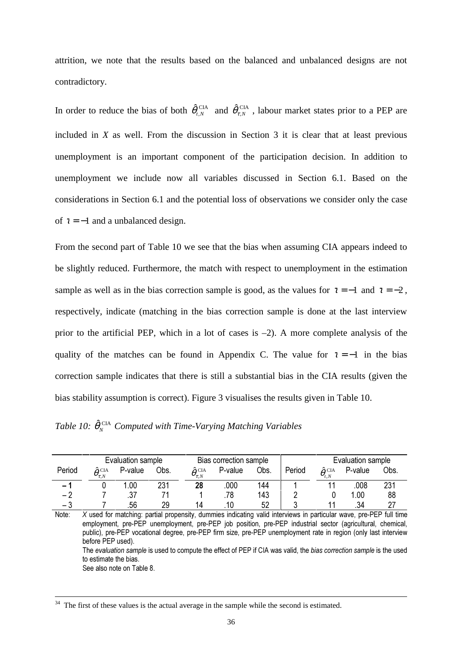attrition, we note that the results based on the balanced and unbalanced designs are not contradictory.

In order to reduce the bias of both  $\hat{\theta}_{t,N}^{\text{CIA}}$  and  $\hat{\theta}_{t,N}^{\text{CIA}}$ , labour market states prior to a PEP are included in *X* as well. From the discussion in Section 3 it is clear that at least previous unemployment is an important component of the participation decision. In addition to unemployment we include now all variables discussed in Section 6.1. Based on the considerations in Section 6.1 and the potential loss of observations we consider only the case of  $\tau = -1$  and a unbalanced design.

From the second part of Table 10 we see that the bias when assuming CIA appears indeed to be slightly reduced. Furthermore, the match with respect to unemployment in the estimation sample as well as in the bias correction sample is good, as the values for  $\tau = -1$  and  $\tau = -2$ . respectively, indicate (matching in the bias correction sample is done at the last interview prior to the artificial PEP, which in a lot of cases is –2). A more complete analysis of the quality of the matches can be found in Appendix C. The value for  $\tau = -1$  in the bias correction sample indicates that there is still a substantial bias in the CIA results (given the bias stability assumption is correct). Figure 3 visualises the results given in Table 10.

|  |  | Table 10: $\hat{\theta}_N^{\text{CIA}}$ Computed with Time-Varying Matching Variables |  |  |  |
|--|--|---------------------------------------------------------------------------------------|--|--|--|
|--|--|---------------------------------------------------------------------------------------|--|--|--|

|                          |                                     | Evaluation sample<br>Bias correction sample |      |                                     |         |      |        | Evaluation sample                  |         |      |
|--------------------------|-------------------------------------|---------------------------------------------|------|-------------------------------------|---------|------|--------|------------------------------------|---------|------|
| Period                   | $\hat{\theta}_{\tau_N}^{\ \rm CIA}$ | P-value                                     | Obs. | $\hat{\theta}_{\tau,N}^{\ \rm CIA}$ | P-value | Obs. | Period | $\hat{\theta}^{\text{ CIA}}_{t,N}$ | P-value | Obs. |
| $\overline{\phantom{0}}$ |                                     | .00                                         | 231  | 28                                  | .000    | 144  |        |                                    | 008     | 231  |
| - 2                      |                                     |                                             |      |                                     | .78     | 143  |        |                                    | 1.00    | 88   |
| - 3                      |                                     | 56                                          | 29   | 1Δ                                  | 10      | 52   |        |                                    | .34     |      |

Note:  $X$  used for matching: partial propensity, dummies indicating valid interviews in particular wave, pre-PEP full time employment, pre-PEP unemployment, pre-PEP job position, pre-PEP industrial sector (agricultural, chemical, public), pre-PEP vocational degree, pre-PEP firm size, pre-PEP unemployment rate in region (only last interview before PEP used). The evaluation sample is used to compute the effect of PEP if CIA was valid, the bias correction sample is the used to estimate the bias.

See also note on Table 8.

<sup>&</sup>lt;sup>34</sup> The first of these values is the actual average in the sample while the second is estimated.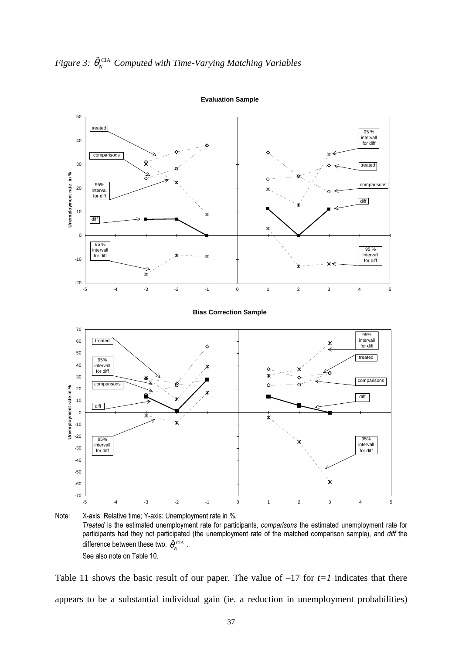



Note: X-axis: Relative time: Y-axis: Unemployment rate in %. Treated is the estimated unemployment rate for participants, comparisons the estimated unemployment rate for participants had they not participated (the unemployment rate of the matched comparison sample), and diff the difference between these two,  $\hat{\theta}_{N}^{\text{CIA}}$ . See also note on Table 10.

Table 11 shows the basic result of our paper. The value of  $-17$  for  $t=1$  indicates that there appears to be a substantial individual gain (ie. a reduction in unemployment probabilities)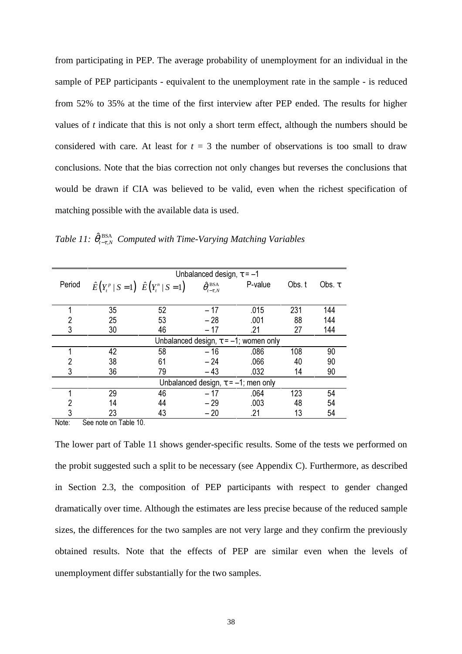from participating in PEP. The average probability of unemployment for an individual in the sample of PEP participants - equivalent to the unemployment rate in the sample - is reduced from 52% to 35% at the time of the first interview after PEP ended. The results for higher values of *t* indicate that this is not only a short term effect, although the numbers should be considered with care. At least for  $t = 3$  the number of observations is too small to draw conclusions. Note that the bias correction not only changes but reverses the conclusions that would be drawn if CIA was believed to be valid, even when the richest specification of matching possible with the available data is used.

|        |                                                                            |    | Unbalanced design, $\tau = -1$                             |                                             |        |             |
|--------|----------------------------------------------------------------------------|----|------------------------------------------------------------|---------------------------------------------|--------|-------------|
| Period | $\hat{E}\left(Y_t^p \mid S=1\right) \; \hat{E}\left(Y_t^n \mid S=1\right)$ |    | $\hat{\theta}_{{\scriptscriptstyle t-\tau},N}^{\rm \,BSA}$ | P-value                                     | Obs. t | Obs. $\tau$ |
|        | 35                                                                         | 52 | - 17                                                       | .015                                        | 231    | 144         |
|        | 25                                                                         | 53 | $-28$                                                      | .001                                        | 88     | 144         |
| 3      | 30                                                                         | 46 | $-17$                                                      | .21                                         | 27     | 144         |
|        |                                                                            |    |                                                            | Unbalanced design, $\tau = -1$ ; women only |        |             |
|        | 42                                                                         | 58 | $-16$                                                      | .086                                        | 108    | 90          |
|        | 38                                                                         | 61 | $-24$                                                      | .066                                        | 40     | 90          |
|        | 36                                                                         | 79 | $-43$                                                      | .032                                        | 14     | 90          |
|        |                                                                            |    |                                                            | Unbalanced design, $\tau = -1$ ; men only   |        |             |
|        | 29                                                                         | 46 | $-17$                                                      | .064                                        | 123    | 54          |
|        | 14                                                                         | 44 | $-29$                                                      | .003                                        | 48     | 54          |
|        | 23                                                                         | 43 | $-20$                                                      | .21                                         | 13     | 54          |

*Table 11:*  $\hat{\theta}_{t-\tau,N}^{\text{BSA}}$  Computed with Time-Varying Matching Variables

Note: See note on Table 10.

The lower part of Table 11 shows gender-specific results. Some of the tests we performed on the probit suggested such a split to be necessary (see Appendix C). Furthermore, as described in Section 2.3, the composition of PEP participants with respect to gender changed dramatically over time. Although the estimates are less precise because of the reduced sample sizes, the differences for the two samples are not very large and they confirm the previously obtained results. Note that the effects of PEP are similar even when the levels of unemployment differ substantially for the two samples.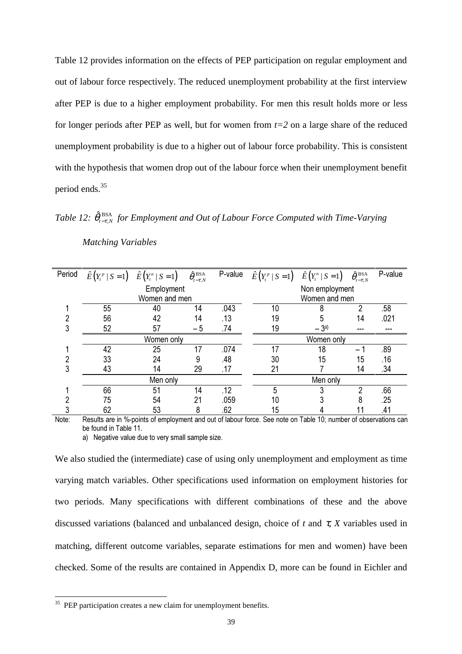Table 12 provides information on the effects of PEP participation on regular employment and out of labour force respectively. The reduced unemployment probability at the first interview after PEP is due to a higher employment probability. For men this result holds more or less for longer periods after PEP as well, but for women from *t=2* on a large share of the reduced unemployment probability is due to a higher out of labour force probability. This is consistent with the hypothesis that women drop out of the labour force when their unemployment benefit period ends.<sup>35</sup>

*Table 12:*  $\hat{\theta}_{t-\tau,N}^{BSA}$  for Employment and Out of Labour Force Computed with Time-Varying

| Period | $\hat{E}\left(Y_t^p \mid S=1\right)$ $\hat{E}\left(Y_t^n \mid S=1\right)$ |               | $\hat{\theta}_{{}_{t-\tau,N}}^{^{\text{BSA}}}$ | P-value | $\hat{E}\left(Y_t^p \mid S=1\right)$ $\hat{E}\left(Y_t^n \mid S=1\right)$ |                | $\hat{\theta}_{{}_{t-\tau,N}}^{^{\text{BSA}}}$ | P-value |  |  |
|--------|---------------------------------------------------------------------------|---------------|------------------------------------------------|---------|---------------------------------------------------------------------------|----------------|------------------------------------------------|---------|--|--|
|        |                                                                           | Employment    |                                                |         |                                                                           | Non employment |                                                |         |  |  |
|        |                                                                           | Women and men |                                                |         |                                                                           | Women and men  |                                                |         |  |  |
|        | 55                                                                        | 40            | 14                                             | .043    | 10                                                                        | 8              | າ                                              | .58     |  |  |
|        | 56                                                                        | 42            | 14                                             | .13     | 19                                                                        |                | 14                                             | .021    |  |  |
|        | 52                                                                        | 57            | $-5$                                           | .74     | 19                                                                        | $-3a$          | ---                                            |         |  |  |
|        | Women only                                                                |               |                                                |         |                                                                           | Women only     |                                                |         |  |  |
|        | 42                                                                        | 25            | 17                                             | .074    | 17                                                                        | 18             |                                                | .89     |  |  |
|        | 33                                                                        | 24            | 9                                              | .48     | 30                                                                        | 15             | 15                                             | .16     |  |  |
|        | 43                                                                        | 14            | 29                                             | .17     | 21                                                                        |                | 14                                             | .34     |  |  |
|        |                                                                           | Men only      |                                                |         |                                                                           | Men only       |                                                |         |  |  |
|        | 66                                                                        | 51            | 14                                             | .12     | 5                                                                         | 3              | າ                                              | .66     |  |  |
|        | 75                                                                        | 54            | 21                                             | .059    | 10                                                                        |                | o                                              | .25     |  |  |
|        | 62                                                                        | 53            | 8                                              | .62     | 15                                                                        |                |                                                | .41     |  |  |

*Matching Variables*

Note: Results are in %-points of employment and out of labour force. See note on Table 10; number of observations can be found in Table 11.

a) Negative value due to very small sample size.

We also studied the (intermediate) case of using only unemployment and employment as time varying match variables. Other specifications used information on employment histories for two periods. Many specifications with different combinations of these and the above discussed variations (balanced and unbalanced design, choice of  $t$  and  $\tau$ ,  $X$  variables used in matching, different outcome variables, separate estimations for men and women) have been checked. Some of the results are contained in Appendix D, more can be found in Eichler and

<sup>&</sup>lt;sup>35</sup> PEP participation creates a new claim for unemployment benefits.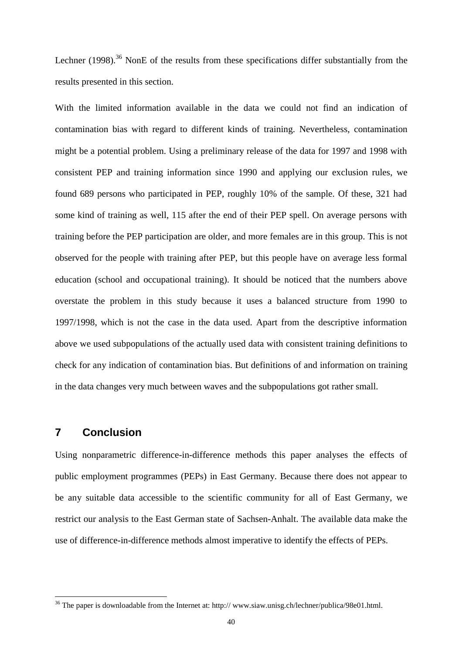Lechner  $(1998)$ .<sup>36</sup> NonE of the results from these specifications differ substantially from the results presented in this section.

With the limited information available in the data we could not find an indication of contamination bias with regard to different kinds of training. Nevertheless, contamination might be a potential problem. Using a preliminary release of the data for 1997 and 1998 with consistent PEP and training information since 1990 and applying our exclusion rules, we found 689 persons who participated in PEP, roughly 10% of the sample. Of these, 321 had some kind of training as well, 115 after the end of their PEP spell. On average persons with training before the PEP participation are older, and more females are in this group. This is not observed for the people with training after PEP, but this people have on average less formal education (school and occupational training). It should be noticed that the numbers above overstate the problem in this study because it uses a balanced structure from 1990 to 1997/1998, which is not the case in the data used. Apart from the descriptive information above we used subpopulations of the actually used data with consistent training definitions to check for any indication of contamination bias. But definitions of and information on training in the data changes very much between waves and the subpopulations got rather small.

## **7 Conclusion**

 $\overline{a}$ 

Using nonparametric difference-in-difference methods this paper analyses the effects of public employment programmes (PEPs) in East Germany. Because there does not appear to be any suitable data accessible to the scientific community for all of East Germany, we restrict our analysis to the East German state of Sachsen-Anhalt. The available data make the use of difference-in-difference methods almost imperative to identify the effects of PEPs.

<sup>36</sup> The paper is downloadable from the Internet at: http:// www.siaw.unisg.ch/lechner/publica/98e01.html.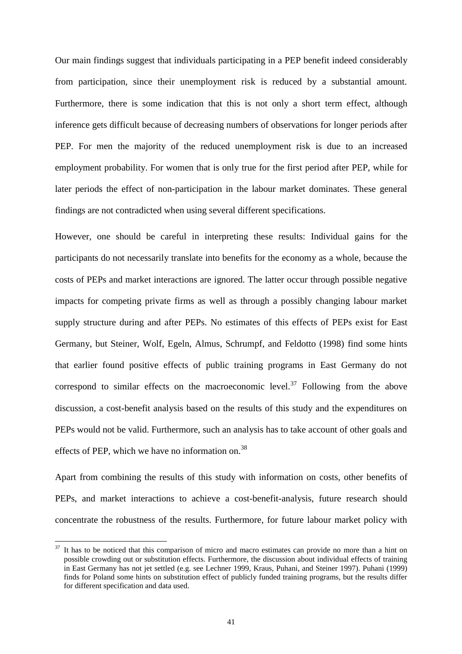Our main findings suggest that individuals participating in a PEP benefit indeed considerably from participation, since their unemployment risk is reduced by a substantial amount. Furthermore, there is some indication that this is not only a short term effect, although inference gets difficult because of decreasing numbers of observations for longer periods after PEP. For men the majority of the reduced unemployment risk is due to an increased employment probability. For women that is only true for the first period after PEP, while for later periods the effect of non-participation in the labour market dominates. These general findings are not contradicted when using several different specifications.

However, one should be careful in interpreting these results: Individual gains for the participants do not necessarily translate into benefits for the economy as a whole, because the costs of PEPs and market interactions are ignored. The latter occur through possible negative impacts for competing private firms as well as through a possibly changing labour market supply structure during and after PEPs. No estimates of this effects of PEPs exist for East Germany, but Steiner, Wolf, Egeln, Almus, Schrumpf, and Feldotto (1998) find some hints that earlier found positive effects of public training programs in East Germany do not correspond to similar effects on the macroeconomic level.<sup>37</sup> Following from the above discussion, a cost-benefit analysis based on the results of this study and the expenditures on PEPs would not be valid. Furthermore, such an analysis has to take account of other goals and effects of PEP, which we have no information on.<sup>38</sup>

Apart from combining the results of this study with information on costs, other benefits of PEPs, and market interactions to achieve a cost-benefit-analysis, future research should concentrate the robustness of the results. Furthermore, for future labour market policy with

 $37$  It has to be noticed that this comparison of micro and macro estimates can provide no more than a hint on possible crowding out or substitution effects. Furthermore, the discussion about individual effects of training in East Germany has not jet settled (e.g. see Lechner 1999, Kraus, Puhani, and Steiner 1997). Puhani (1999) finds for Poland some hints on substitution effect of publicly funded training programs, but the results differ for different specification and data used.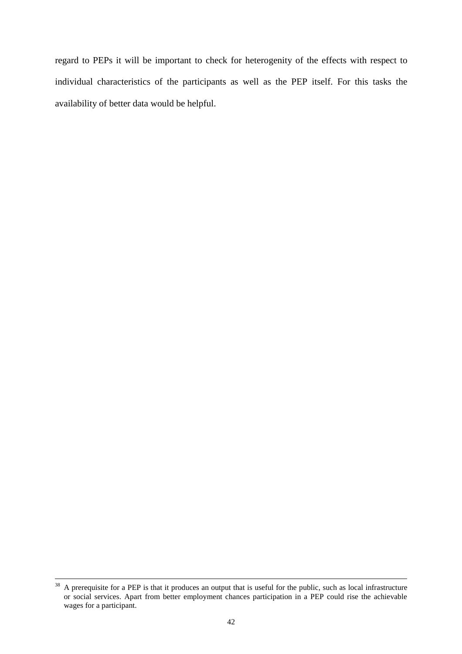regard to PEPs it will be important to check for heterogenity of the effects with respect to individual characteristics of the participants as well as the PEP itself. For this tasks the availability of better data would be helpful.

<sup>&</sup>lt;sup>38</sup> A prerequisite for a PEP is that it produces an output that is useful for the public, such as local infrastructure or social services. Apart from better employment chances participation in a PEP could rise the achievable wages for a participant.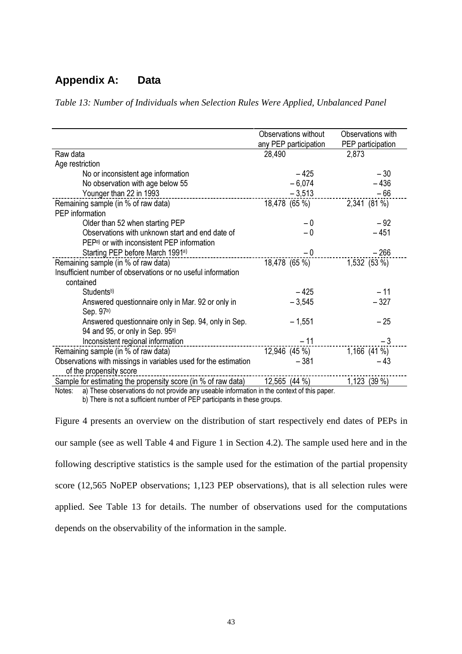## **Appendix A: Data**

*Table 13: Number of Individuals when Selection Rules Were Applied, Unbalanced Panel*

|                                                                 | Observations without  | Observations with |
|-----------------------------------------------------------------|-----------------------|-------------------|
|                                                                 | any PEP participation | PEP participation |
| Raw data                                                        | 28,490                | 2,873             |
| Age restriction                                                 |                       |                   |
| No or inconsistent age information                              | $-425$                | $-30$             |
| No observation with age below 55                                | $-6,074$              | $-436$            |
| Younger than 22 in 1993                                         | $-3,513$              | $-66$             |
| Remaining sample (in % of raw data)                             | 18,478 (65 %)         | 2,341 (81 %)      |
| PEP information                                                 |                       |                   |
| Older than 52 when starting PEP                                 | $-0$                  | $-92$             |
| Observations with unknown start and end date of                 | $-0$                  | $-451$            |
| PEP <sup>a</sup> or with inconsistent PEP information           |                       |                   |
| Starting PEP before March 1991 <sup>a)</sup>                    | $-0$                  | $-266$            |
| Remaining sample (in % of raw data)                             | 18,478 (65 %)         | 1,532 (53 %)      |
| Insufficient number of observations or no useful information    |                       |                   |
| contained                                                       |                       |                   |
| Students <sup>b)</sup>                                          | $-425$                | $-11$             |
| Answered questionnaire only in Mar. 92 or only in               | $-3,545$              | $-327$            |
| Sep. 97 <sup>a)</sup>                                           |                       |                   |
| Answered questionnaire only in Sep. 94, only in Sep.            | $-1,551$              | $-25$             |
| 94 and 95, or only in Sep. 95 <sup>b)</sup>                     |                       |                   |
| Inconsistent regional information<br>------------------         | $-11$                 | $-3$              |
| Remaining sample (in % of raw data)                             | 12,946 (45 %)         | $1,166$ (41 %)    |
| Observations with missings in variables used for the estimation | $-381$                | - 43              |
| of the propensity score                                         |                       |                   |
| Sample for estimating the propensity score (in % of raw data)   | 12,565 (44 %)         | 1,123 (39 %)      |
|                                                                 |                       |                   |

Notes: a) These observations do not provide any useable information in the context of this paper.

b) There is not a sufficient number of PEP participants in these groups.

Figure 4 presents an overview on the distribution of start respectively end dates of PEPs in our sample (see as well Table 4 and Figure 1 in Section 4.2). The sample used here and in the following descriptive statistics is the sample used for the estimation of the partial propensity score (12,565 NoPEP observations; 1,123 PEP observations), that is all selection rules were applied. See Table 13 for details. The number of observations used for the computations depends on the observability of the information in the sample.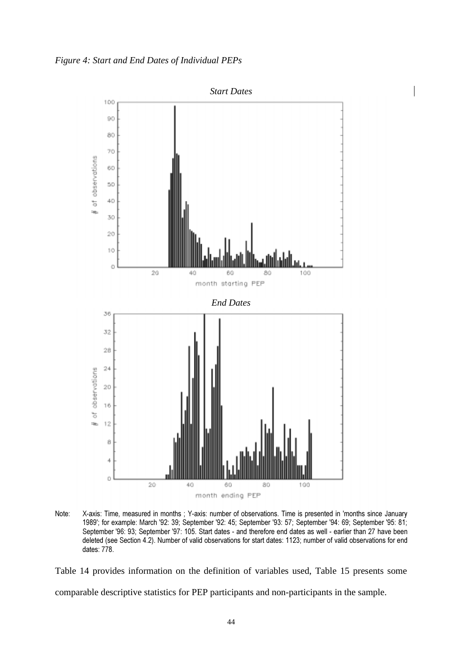*Figure 4: Start and End Dates of Individual PEPs*



Note: X-axis: Time, measured in months ; Y-axis: number of observations. Time is presented in 'months since January 1989'; for example: March '92: 39; September '92: 45; September '93: 57; September '94: 69; September '95: 81; September '96: 93; September '97: 105. Start dates - and therefore end dates as well - earlier than 27 have been deleted (see Section 4.2). Number of valid observations for start dates: 1123; number of valid observations for end dates: 778.

Table 14 provides information on the definition of variables used, Table 15 presents some comparable descriptive statistics for PEP participants and non-participants in the sample.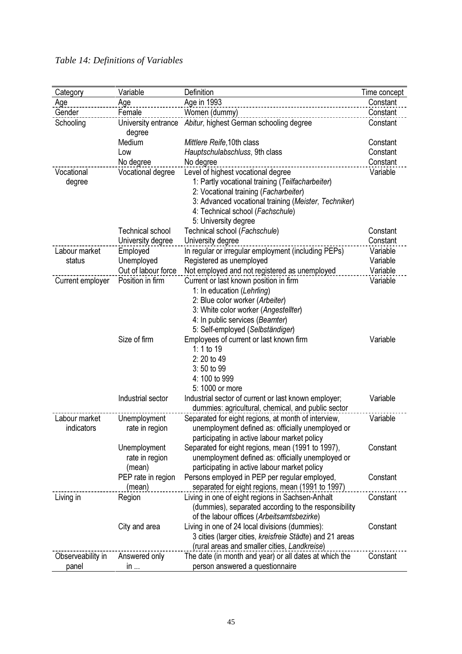| Category          | Variable                      | Definition                                               | Time concept |
|-------------------|-------------------------------|----------------------------------------------------------|--------------|
| Age               | Age                           | Age in 1993                                              | Constant     |
| Gender            | Female                        | Women (dummy)                                            | Constant     |
| Schooling         | University entrance<br>degree | Abitur, highest German schooling degree                  | Constant     |
|                   | Medium                        | Mittlere Reife, 10th class                               | Constant     |
|                   | Low                           | Hauptschulabschluss, 9th class                           | Constant     |
|                   | No degree                     | No degree                                                | Constant     |
| Vocational        | Vocational degree             | Level of highest vocational degree                       | Variable     |
| degree            |                               | 1: Partly vocational training (Teilfacharbeiter)         |              |
|                   |                               | 2: Vocational training (Facharbeiter)                    |              |
|                   |                               | 3: Advanced vocational training (Meister, Techniker)     |              |
|                   |                               | 4: Technical school (Fachschule)                         |              |
|                   |                               | 5: University degree                                     |              |
|                   | <b>Technical school</b>       | Technical school (Fachschule)                            | Constant     |
|                   | University degree             | University degree                                        | Constant     |
| Labour market     | Employed                      | In regular or irregular employment (including PEPs)      | Variable     |
| status            | Unemployed                    | Registered as unemployed                                 | Variable     |
|                   | Out of labour force           | Not employed and not registered as unemployed            | Variable     |
| Current employer  | Position in firm              | Current or last known position in firm                   | Variable     |
|                   |                               | 1: In education (Lehrling)                               |              |
|                   |                               | 2: Blue color worker (Arbeiter)                          |              |
|                   |                               | 3: White color worker (Angestellter)                     |              |
|                   |                               | 4: In public services (Beamter)                          |              |
|                   |                               | 5: Self-employed (Selbständiger)                         |              |
|                   | Size of firm                  | Employees of current or last known firm<br>1: 1 to 19    | Variable     |
|                   |                               | 2: 20 to 49                                              |              |
|                   |                               | 3:50 to 99                                               |              |
|                   |                               | 4: 100 to 999                                            |              |
|                   |                               | 5: 1000 or more                                          |              |
|                   | Industrial sector             | Industrial sector of current or last known employer;     | Variable     |
|                   |                               | dummies: agricultural, chemical, and public sector       |              |
| Labour market     | Unemployment                  | Separated for eight regions, at month of interview,      | Variable     |
| indicators        | rate in region                | unemployment defined as: officially unemployed or        |              |
|                   |                               | participating in active labour market policy             |              |
|                   | Unemployment                  | Separated for eight regions, mean (1991 to 1997),        | Constant     |
|                   | rate in region                | unemployment defined as: officially unemployed or        |              |
|                   | (mean)                        | participating in active labour market policy             |              |
|                   | PEP rate in region            | Persons employed in PEP per regular employed,            | Constant     |
|                   | (mean)                        | separated for eight regions, mean (1991 to 1997)         |              |
| Living in         | Region                        | Living in one of eight regions in Sachsen-Anhalt         | Constant     |
|                   |                               | (dummies), separated according to the responsibility     |              |
|                   |                               | of the labour offices (Arbeitsamtsbezirke)               |              |
|                   | City and area                 | Living in one of 24 local divisions (dummies):           | Constant     |
|                   |                               | 3 cities (larger cities, kreisfreie Städte) and 21 areas |              |
|                   |                               | (rural areas and smaller cities, Landkreise)             |              |
| Observeability in | Answered only                 | The date (in month and year) or all dates at which the   | Constant     |
| panel             | in                            | person answered a questionnaire                          |              |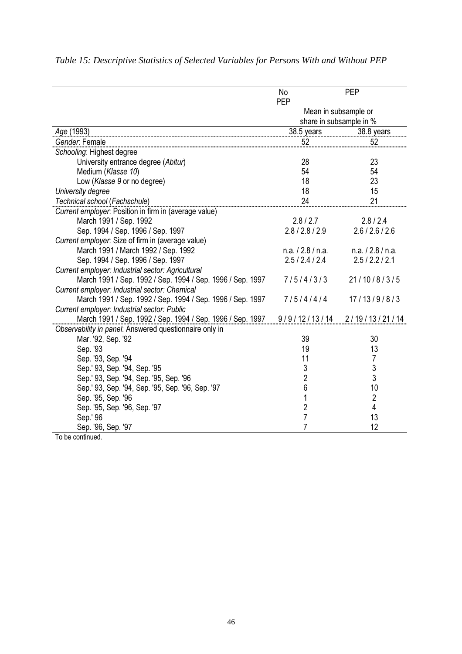|                                                            | No<br>PEP         | PEP                     |
|------------------------------------------------------------|-------------------|-------------------------|
|                                                            |                   | Mean in subsample or    |
|                                                            |                   | share in subsample in % |
| Age (1993)                                                 | 38.5 years        | 38.8 years              |
| Gender: Female                                             | 52                | 52                      |
| Schooling: Highest degree                                  |                   |                         |
| University entrance degree (Abitur)                        | 28                | 23                      |
| Medium (Klasse 10)                                         | 54                | 54                      |
| Low (Klasse 9 or no degree)                                | 18                | 23                      |
| University degree                                          | 18                | 15                      |
| Technical school (Fachschule)                              | 24                | 21                      |
| Current employer: Position in firm in (average value)      |                   |                         |
| March 1991 / Sep. 1992                                     | 2.8 / 2.7         | 2.8 / 2.4               |
| Sep. 1994 / Sep. 1996 / Sep. 1997                          | 2.8/2.8/2.9       | 2.6 / 2.6 / 2.6         |
| Current employer: Size of firm in (average value)          |                   |                         |
| March 1991 / March 1992 / Sep. 1992                        | n.a. / 2.8 / n.a. | n.a. / 2.8 / n.a.       |
| Sep. 1994 / Sep. 1996 / Sep. 1997                          | 2.5/2.4/2.4       | 2.5/2.2/2.1             |
| Current employer: Industrial sector: Agricultural          |                   |                         |
| March 1991 / Sep. 1992 / Sep. 1994 / Sep. 1996 / Sep. 1997 | 7/5/4/3/3         | 21/10/8/3/5             |
| Current employer: Industrial sector: Chemical              |                   |                         |
| March 1991 / Sep. 1992 / Sep. 1994 / Sep. 1996 / Sep. 1997 | 7/5/4/4/4         | 17/13/9/8/3             |
| Current employer: Industrial sector: Public                |                   |                         |
| March 1991 / Sep. 1992 / Sep. 1994 / Sep. 1996 / Sep. 1997 | 9/9/12/13/14      | 2/19/13/21/14           |
| Observability in panel: Answered questionnaire only in     |                   |                         |
| Mar. '92, Sep. '92                                         | 39                | 30                      |
| Sep. '93                                                   | 19                | 13                      |
| Sep. '93, Sep. '94                                         | 11                | 7                       |
| Sep.' 93, Sep. '94, Sep. '95                               | 3                 | 3                       |
| Sep.' 93, Sep. '94, Sep. '95, Sep. '96                     | $\overline{2}$    | 3                       |
| Sep.' 93, Sep. '94, Sep. '95, Sep. '96, Sep. '97           | 6                 | 10                      |
| Sep. '95, Sep. '96                                         | 1                 | $\overline{2}$          |
| Sep. '95, Sep. '96, Sep. '97                               | $\overline{c}$    | $\overline{\mathbf{4}}$ |
| Sep.' 96                                                   | $\overline{7}$    | 13                      |
| Sep. '96, Sep. '97                                         | 7                 | 12                      |

# *Table 15: Descriptive Statistics of Selected Variables for Persons With and Without PEP*

To be continued.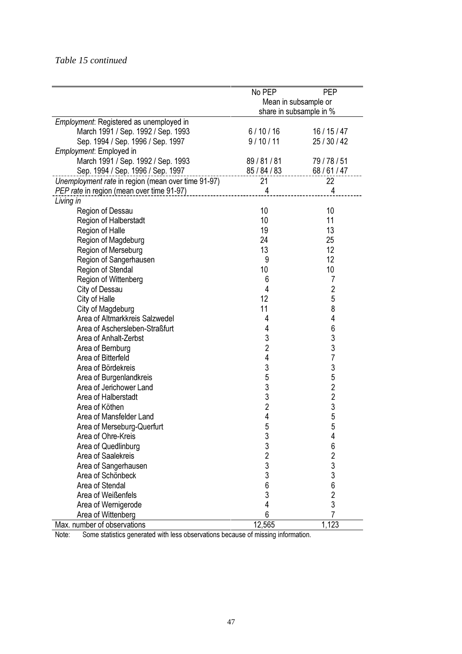## *Table 15 continued*

|                                                    | No PEP         | <b>PEP</b>              |
|----------------------------------------------------|----------------|-------------------------|
|                                                    |                | Mean in subsample or    |
|                                                    |                | share in subsample in % |
| Employment: Registered as unemployed in            |                |                         |
| March 1991 / Sep. 1992 / Sep. 1993                 | 6/10/16        | 16/15/47                |
| Sep. 1994 / Sep. 1996 / Sep. 1997                  | 9/10/11        | 25 / 30 / 42            |
| Employment: Employed in                            |                |                         |
| March 1991 / Sep. 1992 / Sep. 1993                 | 89/81/81       | 79/78/51                |
| Sep. 1994 / Sep. 1996 / Sep. 1997                  | 85/84/83       | 68/61/47                |
| Unemployment rate in region (mean over time 91-97) | 21             | 22                      |
| PEP rate in region (mean over time 91-97)          | 4              | 4                       |
| Living in                                          |                |                         |
| Region of Dessau                                   | 10             | 10                      |
| Region of Halberstadt                              | 10             | 11                      |
| Region of Halle                                    | 19             | 13                      |
| Region of Magdeburg                                | 24             | 25                      |
| Region of Merseburg                                | 13             | 12                      |
| Region of Sangerhausen                             | 9              | 12                      |
| Region of Stendal                                  | 10             | 10                      |
| Region of Wittenberg                               | 6              | 7                       |
| City of Dessau                                     | 4              | $\overline{2}$          |
| City of Halle                                      | 12             | 5                       |
| City of Magdeburg                                  | 11             | 8                       |
| Area of Altmarkkreis Salzwedel                     | 4              | 4                       |
| Area of Aschersleben-Straßfurt                     | 4              | $\boldsymbol{6}$        |
| Area of Anhalt-Zerbst                              | 3              | 3                       |
| Area of Bernburg                                   | $\overline{2}$ | 3                       |
| Area of Bitterfeld                                 | 4              | $\overline{7}$          |
| Area of Bördekreis                                 | 3              | 3                       |
| Area of Burgenlandkreis                            | 5              | 5                       |
| Area of Jerichower Land                            | 3              | $\overline{2}$          |
| Area of Halberstadt                                | 3              | $\overline{c}$          |
| Area of Köthen                                     | $\overline{2}$ | 3                       |
| Area of Mansfelder Land                            | 4              | 5                       |
| Area of Merseburg-Querfurt                         | 5              | 5                       |
| Area of Ohre-Kreis                                 | 3              | 4                       |
| Area of Quedlinburg                                | 3              | 6                       |
| Area of Saalekreis                                 | $\overline{2}$ | $\overline{\mathbf{c}}$ |
| Area of Sangerhausen                               |                | 3                       |
| Area of Schönbeck                                  | $\frac{3}{3}$  | 3                       |
| Area of Stendal                                    | 6              | 6                       |
| Area of Weißenfels                                 | 3              | $\overline{\mathbf{c}}$ |
| Area of Wernigerode                                | 4              | 3                       |
| Area of Wittenberg                                 | 6              | 7                       |
| Max. number of observations                        | 12,565         | 1,123                   |

Note: Some statistics generated with less observations because of missing information.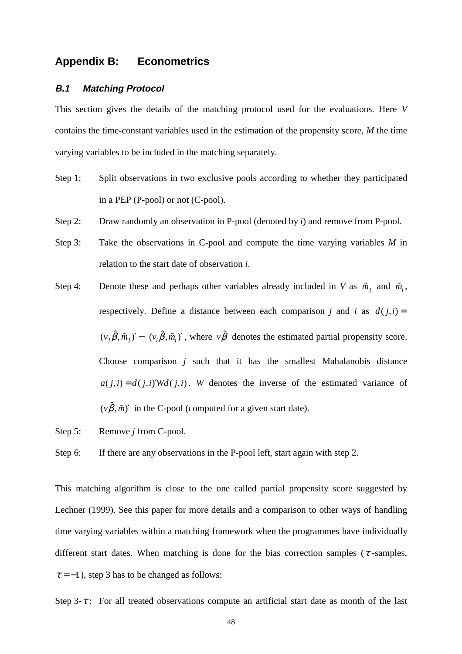## **Appendix B: Econometrics**

#### **B.1 Matching Protocol**

This section gives the details of the matching protocol used for the evaluations. Here *V* contains the time-constant variables used in the estimation of the propensity score, *M* the time varying variables to be included in the matching separately.

- Step 1: Split observations in two exclusive pools according to whether they participated in a PEP (P-pool) or not (C-pool).
- Step 2: Draw randomly an observation in P-pool (denoted by *i*) and remove from P-pool.
- Step 3: Take the observations in C-pool and compute the time varying variables *M* in relation to the start date of observation *i*.
- Step 4: Denote these and perhaps other variables already included in *V* as  $\tilde{m}_i$ , and  $\tilde{m}_i$ , respectively. Define a distance between each comparison *j* and *i* as  $d(j,i)$  =  $(v_i \hat{\beta}, \tilde{m}_i)' - (v_i \hat{\beta}, \tilde{m}_i)'$ , where  $v \hat{\beta}$  denotes the estimated partial propensity score. Choose comparison *j* such that it has the smallest Mahalanobis distance  $a(j,i) = d(j,i)Wd(j,i)$ . *W* denotes the inverse of the estimated variance of  $(v\hat{\beta}, \tilde{m})'$  in the C-pool (computed for a given start date).
- Step 5: Remove *j* from C-pool.

Step 6: If there are any observations in the P-pool left, start again with step 2.

This matching algorithm is close to the one called partial propensity score suggested by Lechner (1999). See this paper for more details and a comparison to other ways of handling time varying variables within a matching framework when the programmes have individually different start dates. When matching is done for the bias correction samples ( $\tau$ -samples,  $\tau = -1$ ), step 3 has to be changed as follows:

Step 3- $\tau$ : For all treated observations compute an artificial start date as month of the last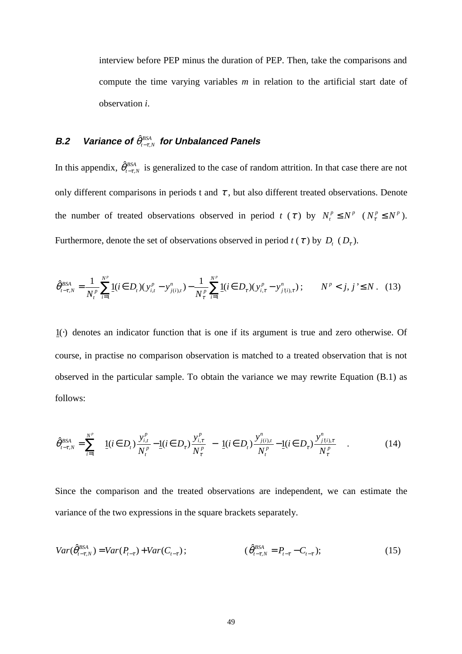interview before PEP minus the duration of PEP. Then, take the comparisons and compute the time varying variables *m* in relation to the artificial start date of observation *i*.

# **B.2 Variance of**  $\hat{\theta}_{t-\tau,N}^{BSA}$  for Unbalanced Panels

In this appendix,  $\hat{\theta}_{t-\tau,N}^{BSA}$  is generalized to the case of random attrition. In that case there are not only different comparisons in periods t and  $\tau$ , but also different treated observations. Denote the number of treated observations observed in period *t* ( $\tau$ ) by  $N_t^p \le N^p$  ( $N_\tau^p \le N^p$ ). Furthermore, denote the set of observations observed in period  $t(\tau)$  by  $D_t(D_\tau)$ .

$$
\hat{\theta}_{t-\tau,N}^{BSA} = \frac{1}{N_t^p} \sum_{i=1}^{N^p} \underline{1}(i \in D_t)(y_{i,t}^p - y_{j(i),t}^n) - \frac{1}{N_\tau^p} \sum_{i=1}^{N^p} \underline{1}(i \in D_\tau)(y_{i,\tau}^p - y_{j(i),\tau}^n); \qquad N^p < j, j \le N. \tag{13}
$$

1( )⋅ denotes an indicator function that is one if its argument is true and zero otherwise. Of course, in practise no comparison observation is matched to a treated observation that is not observed in the particular sample. To obtain the variance we may rewrite Equation (B.1) as follows:

$$
\hat{\theta}_{t-\tau,N}^{BSA} = \sum_{i=1}^{N^p} \left\{ \left[ 1(i \in D_t) \frac{y_{i,t}^p}{N_t^p} - 1(i \in D_\tau) \frac{y_{i,\tau}^p}{N_\tau^p} \right] - \left[ 1(i \in D_t) \frac{y_{j(i),t}^n}{N_t^p} - 1(i \in D_\tau) \frac{y_{j(i),\tau}^n}{N_\tau^p} \right] \right\}.
$$
 (14)

Since the comparison and the treated observations are independent, we can estimate the variance of the two expressions in the square brackets separately.

$$
Var(\hat{\theta}_{t-\tau,N}^{BSA}) = Var(P_{t-\tau}) + Var(C_{t-\tau}); \qquad (\hat{\theta}_{t-\tau,N}^{BSA} = P_{t-\tau} - C_{t-\tau}); \qquad (15)
$$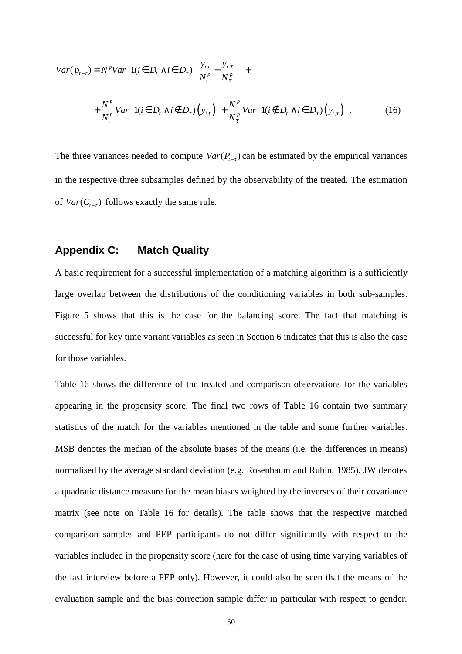$$
Var(p_{t-\tau}) = N^p Var \left[ \underbrace{1}{i} (\boldsymbol{i} \in D_t \land \boldsymbol{i} \in D_{\tau}) \left( \frac{y_{i,t}}{N_t^p} - \frac{y_{i,\tau}}{N_{\tau}^p} \right) \right] +
$$
  
+ 
$$
\frac{N^p}{N_t^p} Var \left[ \underbrace{1}{i} (\boldsymbol{i} \in D_t \land \boldsymbol{i} \notin D_{\tau}) \left( y_{i,t} \right) \right] + \frac{N^p}{N_{\tau}^p} Var \left[ \underbrace{1}{i} (\boldsymbol{i} \notin D_t \land \boldsymbol{i} \in D_{\tau}) \left( y_{i,\tau} \right) \right].
$$
 (16)

The three variances needed to compute  $Var(P_{t-\tau})$  can be estimated by the empirical variances in the respective three subsamples defined by the observability of the treated. The estimation of  $Var(C_{t-\tau})$  follows exactly the same rule.

### **Appendix C: Match Quality**

A basic requirement for a successful implementation of a matching algorithm is a sufficiently large overlap between the distributions of the conditioning variables in both sub-samples. Figure 5 shows that this is the case for the balancing score. The fact that matching is successful for key time variant variables as seen in Section 6 indicates that this is also the case for those variables.

Table 16 shows the difference of the treated and comparison observations for the variables appearing in the propensity score. The final two rows of Table 16 contain two summary statistics of the match for the variables mentioned in the table and some further variables. MSB denotes the median of the absolute biases of the means (i.e. the differences in means) normalised by the average standard deviation (e.g. Rosenbaum and Rubin, 1985). JW denotes a quadratic distance measure for the mean biases weighted by the inverses of their covariance matrix (see note on Table 16 for details). The table shows that the respective matched comparison samples and PEP participants do not differ significantly with respect to the variables included in the propensity score (here for the case of using time varying variables of the last interview before a PEP only). However, it could also be seen that the means of the evaluation sample and the bias correction sample differ in particular with respect to gender.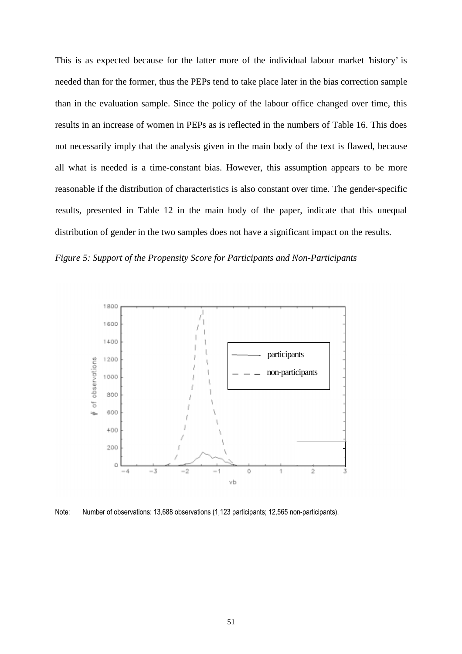This is as expected because for the latter more of the individual labour market 'history' is needed than for the former, thus the PEPs tend to take place later in the bias correction sample than in the evaluation sample. Since the policy of the labour office changed over time, this results in an increase of women in PEPs as is reflected in the numbers of Table 16. This does not necessarily imply that the analysis given in the main body of the text is flawed, because all what is needed is a time-constant bias. However, this assumption appears to be more reasonable if the distribution of characteristics is also constant over time. The gender-specific results, presented in Table 12 in the main body of the paper, indicate that this unequal distribution of gender in the two samples does not have a significant impact on the results.





Note: Number of observations: 13,688 observations (1,123 participants; 12,565 non-participants).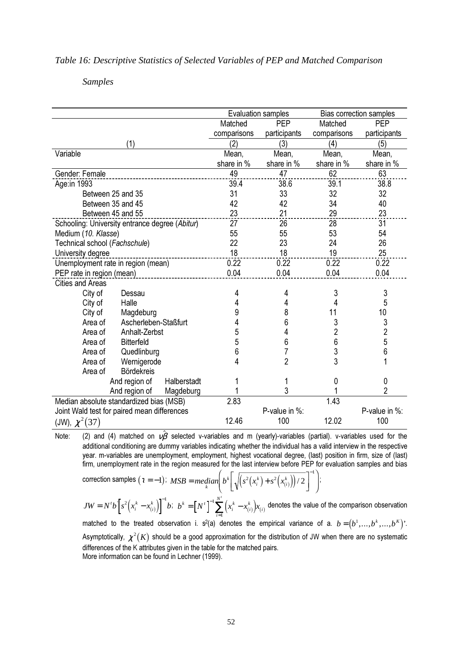#### *Table 16: Descriptive Statistics of Selected Variables of PEP and Matched Comparison*

## *Samples*

|                                                |             | <b>Evaluation samples</b> |                | <b>Bias correction samples</b> |
|------------------------------------------------|-------------|---------------------------|----------------|--------------------------------|
|                                                | Matched     | <b>PEP</b>                | Matched        | PEP                            |
|                                                | comparisons | participants              | comparisons    | participants                   |
| (1)                                            | (2)         | (3)                       | (4)            | (5)                            |
| Variable                                       | Mean,       | Mean,                     | Mean,          | Mean,                          |
|                                                | share in %  | share in %                | share in %     | share in %                     |
| Gender: Female                                 | 49          | 47                        | 62             | 63                             |
| Age:in 1993                                    | 39.4        | 38.6                      | 39.1           | 38.8                           |
| Between 25 and 35                              | 31          | 33                        | 32             | 32                             |
| Between 35 and 45                              | 42          | 42                        | 34             | 40                             |
| Between 45 and 55                              | 23          | 21                        | 29             | 23                             |
| Schooling: University entrance degree (Abitur) | 27          | 26                        | 28             | 31                             |
| Medium (10. Klasse)                            | 55          | 55                        | 53             | 54                             |
| Technical school (Fachschule)                  | 22          | 23                        | 24             | 26                             |
| University degree                              | 18          | 18                        | 19             | 25                             |
| Unemployment rate in region (mean)             | 0.22        | 0.22                      | 0.22           | 0.22                           |
| PEP rate in region (mean)                      | 0.04        | 0.04                      | 0.04           | 0.04                           |
| <b>Cities and Areas</b>                        |             |                           |                |                                |
| City of<br>Dessau                              | 4           | 4                         | 3              | 3                              |
| City of<br>Halle                               | 4           | 4                         | 4              | 5                              |
| City of<br>Magdeburg                           | 9           | 8                         | 11             | 10                             |
| Area of<br>Ascherleben-Staßfurt                | 4           | 6                         | 3              | $\frac{3}{2}$                  |
| Area of<br>Anhalt-Zerbst                       | 5           | 4                         | $\overline{2}$ |                                |
| <b>Bitterfeld</b><br>Area of                   | 5           | 6                         | 6              | 5                              |
| Quedlinburg<br>Area of                         | 6           | 7                         | 3              | 6                              |
| Wernigerode<br>Area of                         | 4           | $\overline{2}$            | 3              | 1                              |
| <b>Bördekreis</b><br>Area of                   |             |                           |                |                                |
| And region of<br>Halberstadt                   |             |                           | 0              | 0                              |
| And region of<br>Magdeburg                     |             | 3                         |                | $\overline{2}$                 |
| Median absolute standardized bias (MSB)        | 2.83        |                           | 1.43           |                                |
| Joint Wald test for paired mean differences    |             | P-value in %:             |                | P-value in %:                  |
| (JW), $\chi^2(37)$                             | 12.46       | 100                       | 12.02          | 100                            |

Note: (2) and (4) matched on  $v\hat{\beta}$  selected v-variables and m (yearly)-variables (partial). v-variables used for the additional conditioning are dummy variables indicating whether the individual has a valid interview in the respective year. m-variables are unemployment, employment, highest vocational degree, (last) position in firm, size of (last)

firm, unemboyment rate in the region measured for the last interview before PEP for evaluation samples and bias correction samples (
$$
\tau = -1
$$
);  $MSB = median \left( b^k \left[ \sqrt{\left( s^2(x_i^k) + s^2(x_{(i)}^k) \right) / 2} \right]^{-1} \right)$ ;  
\n $JW = N^t b \left[ s^2 \left( x_i^k - x_{(i)}^k \right) \right]^{-1} b$ ;  $b^k = \left[ N^t \right]^{-1} \sum_{i=1}^{N'} \left( x_i^k - x_{(i)}^k \right) x_{(i)}$  denotes the value of the comparison observation matched to the treated observation i. s<sup>2</sup>(a) denotes the empirical variance of a.  $b = (b^1, ..., b^k, ..., b^K)$ .  
\nAsymptotically,  $\chi^2(K)$  should be a good approximation for the distribution of JW when there are no systematic differences of the K attributes given in the table for the matched pairs.  
\nMore information can be found in Lechner (1999).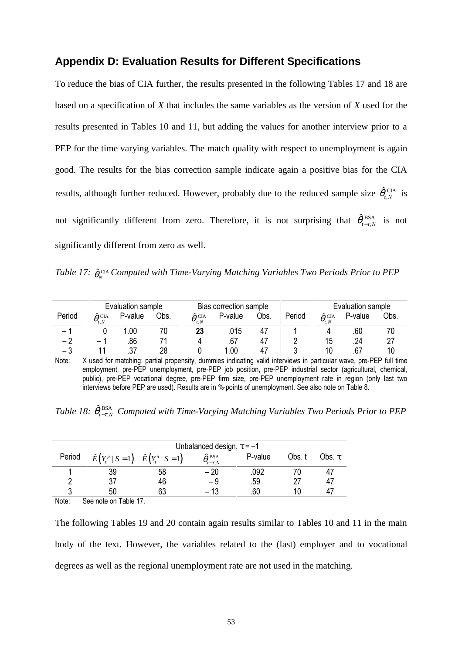## **Appendix D: Evaluation Results for Different Specifications**

To reduce the bias of CIA further, the results presented in the following Tables 17 and 18 are based on a specification of *X* that includes the same variables as the version of *X* used for the results presented in Tables 10 and 11, but adding the values for another interview prior to a PEP for the time varying variables. The match quality with respect to unemployment is again good. The results for the bias correction sample indicate again a positive bias for the CIA results, although further reduced. However, probably due to the reduced sample size  $\hat{\theta}_{t,N}^{\text{CIA}}$  is not significantly different from zero. Therefore, it is not surprising that  $\hat{\theta}_{t-\tau,N}^{\text{BSA}}$  is not significantly different from zero as well.

*Table 17:*  $\hat{\theta}_N^{\text{CIA}}$  *Computed with Time-Varying Matching Variables Two Periods Prior to PEP* 

|                          |                              | Evaluation sample |      |                                     | Bias correction sample |      |        |                                    | Evaluation sample |      |
|--------------------------|------------------------------|-------------------|------|-------------------------------------|------------------------|------|--------|------------------------------------|-------------------|------|
| Period                   | $\hat{\theta}^{\text{ CIA}}$ | P-value           | Obs. | $\hat{\theta}_{\tau,N}^{\ \rm CIA}$ | P-value                | Obs. | Period | $\hat{\theta}^{\text{ CIA}}_{t,N}$ | P-value           | Obs. |
| $\overline{\phantom{0}}$ |                              | .00               |      | 23                                  | .015                   |      |        |                                    | .60               |      |
| $\overline{\phantom{0}}$ | — <sup>1</sup>               | .86               |      |                                     | .67                    |      |        | 15                                 | .24               |      |
| $-$ .1                   |                              |                   | 28   |                                     | 1.00                   |      |        | 10                                 | .67               | 10   |

Note: X used for matching: partial propensity, dummies indicating valid interviews in particular wave, pre-PEP full time employment, pre-PEP unemployment, pre-PEP job position, pre-PEP industrial sector (agricultural, chemical, public), pre-PEP vocational degree, pre-PEP firm size, pre-PEP unemployment rate in region (only last two interviews before PEP are used). Results are in %-points of unemployment. See also note on Table 8.

Table 18:  $\hat{\theta}_{t-\tau,N}^{\text{BSA}}$  Computed with Time-Varying Matching Variables Two Periods Prior to PEP

|          |                                                   |    | Unbalanced design, $\tau = -1$                              |         |        |             |
|----------|---------------------------------------------------|----|-------------------------------------------------------------|---------|--------|-------------|
| Period   | $\hat{E}(Y_t^p   S = 1)$ $\hat{E}(Y_t^n   S = 1)$ |    | $\hat{\theta}_{{\scriptscriptstyle t-\tau},N}^{\rm \, BSA}$ | P-value | Obs. t | Obs. $\tau$ |
|          | 39                                                | 58 | $-20$                                                       | .092    |        | 47          |
|          |                                                   | 46 | - 9                                                         | .59     |        | 47          |
| ◠        | 50                                                | 63 | $-13$                                                       | .60     | 10     | -47         |
| $\cdots$ |                                                   |    |                                                             |         |        |             |

Note: See note on Table 17.

The following Tables 19 and 20 contain again results similar to Tables 10 and 11 in the main body of the text. However, the variables related to the (last) employer and to vocational degrees as well as the regional unemployment rate are not used in the matching.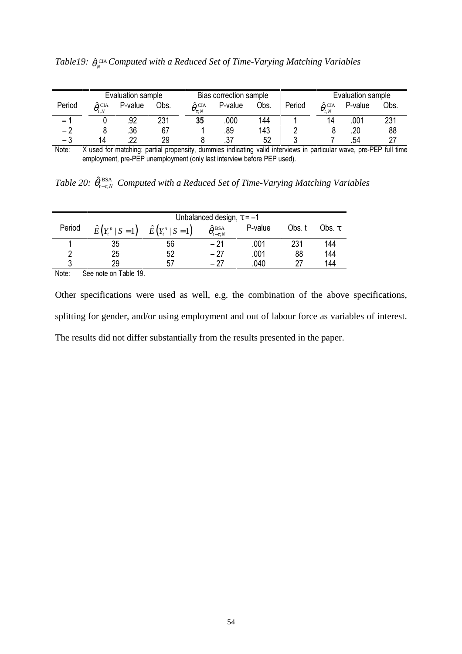|                          |                                        | Evaluation sample<br>Bias correction sample |      |                                     |         | Evaluation sample |        |                                |         |      |
|--------------------------|----------------------------------------|---------------------------------------------|------|-------------------------------------|---------|-------------------|--------|--------------------------------|---------|------|
| Period                   | $\hat{\theta}^{\text{\,CIA}}_{_{t.N}}$ | P-value                                     | Obs. | $\hat{\theta}_{\tau,N}^{\ \rm CIA}$ | P-value | Obs.              | Period | $\hat{\theta}^{\, \text{CIA}}$ | P-value | Obs. |
| $\overline{\phantom{0}}$ |                                        |                                             | 231  | 35                                  | 000     | 144               |        | 14                             | .001    | 231  |
| -2                       |                                        | .36                                         | 67   |                                     | .89     | 143               |        |                                | .20     | 88   |
| - 3                      | 14                                     | ົດດ                                         | 29   |                                     | ، ب     | 52                |        |                                | .54     |      |

| Table19: $\hat{\theta}_{N}^{\text{CIA}}$ Computed with a Reduced Set of Time-Varying Matching Variables |  |  |
|---------------------------------------------------------------------------------------------------------|--|--|
|---------------------------------------------------------------------------------------------------------|--|--|

Note: X used for matching: partial propensity, dummies indicating valid interviews in particular wave, pre-PEP full time employment, pre-PEP unemployment (only last interview before PEP used).

Table 20:  $\hat{\theta}^{\text{ BSA}}_{t-\tau,N}$  Computed with a Reduced Set of Time-Varying Matching Variables

|        |                                                   | Unbalanced design, $\tau = -1$ |                                             |         |        |             |  |  |
|--------|---------------------------------------------------|--------------------------------|---------------------------------------------|---------|--------|-------------|--|--|
| Period | $\hat{E}(Y_t^p   S = 1)$ $\hat{E}(Y_t^n   S = 1)$ |                                | $\hat{\theta}_{{}_{t-\tau,N}}^{\text{BSA}}$ | P-value | Obs. t | Obs. $\tau$ |  |  |
|        | 35                                                | 56                             | $-21$                                       | .001    | 231    | 144         |  |  |
| ∩      | 25                                                | 52                             | $-27$                                       | .001    | 88     | 144         |  |  |
| 3      | 29                                                | 57                             | - 27                                        | .040    | 27     | 144         |  |  |
| Note:  | 10 Ante on Table مو                               |                                |                                             |         |        |             |  |  |

Note: See note on Table 19.

Other specifications were used as well, e.g. the combination of the above specifications, splitting for gender, and/or using employment and out of labour force as variables of interest. The results did not differ substantially from the results presented in the paper.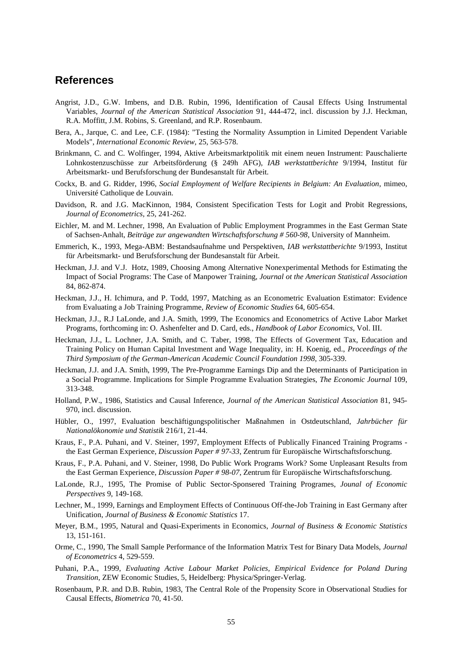## **References**

- Angrist, J.D., G.W. Imbens, and D.B. Rubin, 1996, Identification of Causal Effects Using Instrumental Variables, *Journal of the American Statistical Association* 91, 444-472, incl. discussion by J.J. Heckman, R.A. Moffitt, J.M. Robins, S. Greenland, and R.P. Rosenbaum.
- Bera, A., Jarque, C. and Lee, C.F. (1984): "Testing the Normality Assumption in Limited Dependent Variable Models", *International Economic Review*, 25, 563-578.
- Brinkmann, C. and C. Wolfinger, 1994, Aktive Arbeitsmarktpolitik mit einem neuen Instrument: Pauschalierte Lohnkostenzuschüsse zur Arbeitsförderung (§ 249h AFG), *IAB werkstattberichte* 9/1994, Institut für Arbeitsmarkt- und Berufsforschung der Bundesanstalt für Arbeit.
- Cockx, B. and G. Ridder, 1996, *Social Employment of Welfare Recipients in Belgium: An Evaluation*, mimeo, Université Catholique de Louvain.
- Davidson, R. and J.G. MacKinnon, 1984, Consistent Specification Tests for Logit and Probit Regressions, *Journal of Econometrics*, 25, 241-262.
- Eichler, M. and M. Lechner, 1998, An Evaluation of Public Employment Programmes in the East German State of Sachsen-Anhalt, *Beiträge zur angewandten Wirtschaftsforschung # 560-98*, University of Mannheim.
- Emmerich, K., 1993, Mega-ABM: Bestandsaufnahme und Perspektiven, *IAB werkstattberichte* 9/1993, Institut für Arbeitsmarkt- und Berufsforschung der Bundesanstalt für Arbeit.
- Heckman, J.J. and V.J. Hotz, 1989, Choosing Among Alternative Nonexperimental Methods for Estimating the Impact of Social Programs: The Case of Manpower Training, *Journal ot the American Statistical Association* 84, 862-874.
- Heckman, J.J., H. Ichimura, and P. Todd, 1997, Matching as an Econometric Evaluation Estimator: Evidence from Evaluating a Job Training Programme, *Review of Economic Studies* 64, 605-654.
- Heckman, J.J., R.J LaLonde, and J.A. Smith, 1999, The Economics and Econometrics of Active Labor Market Programs, forthcoming in: O. Ashenfelter and D. Card, eds., *Handbook of Labor Economics*, Vol. III.
- Heckman, J.J., L. Lochner, J.A. Smith, and C. Taber, 1998, The Effects of Goverment Tax, Education and Training Policy on Human Capital Investment and Wage Inequality, in: H. Koenig, ed., *Proceedings of the Third Symposium of the German-American Academic Council Foundation 1998*, 305-339.
- Heckman, J.J. and J.A. Smith, 1999, The Pre-Programme Earnings Dip and the Determinants of Participation in a Social Programme. Implications for Simple Programme Evaluation Strategies, *The Economic Journal* 109, 313-348.
- Holland, P.W., 1986, Statistics and Causal Inference, *Journal of the American Statistical Association* 81, 945- 970, incl. discussion.
- Hübler, O., 1997, Evaluation beschäftigungspolitischer Maßnahmen in Ostdeutschland, *Jahrbücher für Nationalökonomie und Statistik* 216/1, 21-44.
- Kraus, F., P.A. Puhani, and V. Steiner, 1997, Employment Effects of Publically Financed Training Programs the East German Experience, *Discussion Paper # 97-33*, Zentrum für Europäische Wirtschaftsforschung.
- Kraus, F., P.A. Puhani, and V. Steiner, 1998, Do Public Work Programs Work? Some Unpleasant Results from the East German Experience, *Discussion Paper # 98-07*, Zentrum für Europäische Wirtschaftsforschung.
- LaLonde, R.J., 1995, The Promise of Public Sector-Sponsered Training Programes, *Jounal of Economic Perspectives* 9, 149-168.
- Lechner, M., 1999, Earnings and Employment Effects of Continuous Off-the-Job Training in East Germany after Unification, *Journal of Business & Economic Statistics* 17.
- Meyer, B.M., 1995, Natural and Quasi-Experiments in Economics, *Journal of Business & Economic Statistics* 13, 151-161.
- Orme, C., 1990, The Small Sample Performance of the Information Matrix Test for Binary Data Models, *Journal of Econometrics* 4, 529-559.
- Puhani, P.A., 1999, *Evaluating Active Labour Market Policies, Empirical Evidence for Poland During Transition*, ZEW Economic Studies, 5, Heidelberg: Physica/Springer-Verlag.
- Rosenbaum, P.R. and D.B. Rubin, 1983, The Central Role of the Propensity Score in Observational Studies for Causal Effects, *Biometrica* 70, 41-50.